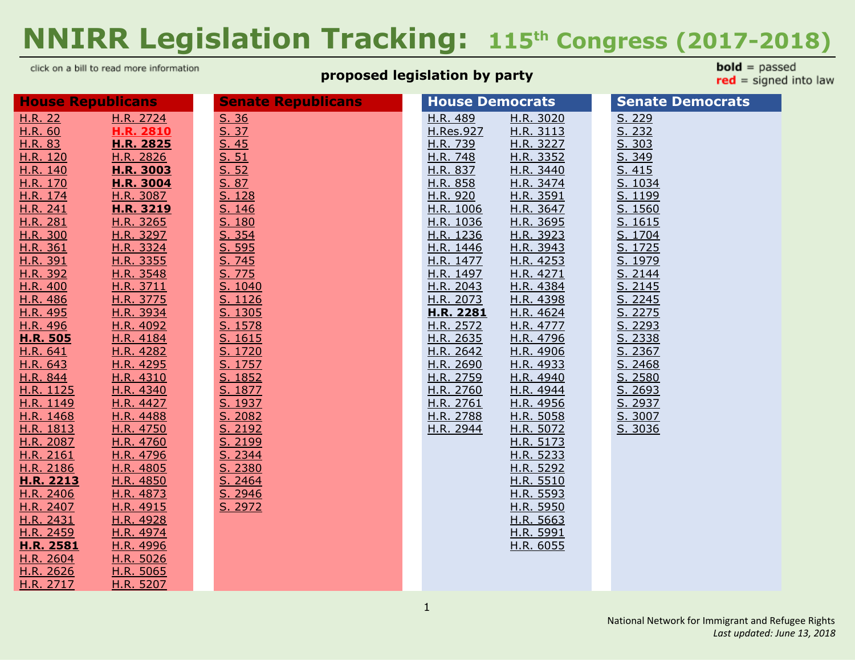# **NNIRR Legislation Tracking: 115 th Congress (2017-2018)**

click on a bill to read more information

#### **proposed legislation by party**

**bold** =  $passed$  $red = signed into law$ 

| <b>House Republicans</b> |                  | <b>Senate Republicans</b> | <b>House Democrats</b> | <b>Senate Democrats</b> |
|--------------------------|------------------|---------------------------|------------------------|-------------------------|
| H.R. 22                  | H.R. 2724        | S. 36                     | H.R. 489<br>H.R. 3020  | S. 229                  |
| H.R. 60                  | <b>H.R. 2810</b> | S. 37                     | H.Res.927<br>H.R. 3113 | S. 232                  |
| H.R. 83                  | H.R. 2825        | S.45                      | H.R. 739<br>H.R. 3227  | S. 303                  |
| H.R. 120                 | H.R. 2826        | S. 51                     | H.R. 748<br>H.R. 3352  | S. 349                  |
| H.R. 140                 | H.R. 3003        | S. 52                     | H.R. 837<br>H.R. 3440  | S. 415                  |
| H.R. 170                 | <b>H.R. 3004</b> | S. 87                     | H.R. 858<br>H.R. 3474  | S. 1034                 |
| H.R. 174                 | H.R. 3087        | S. 128                    | H.R. 920<br>H.R. 3591  | S. 1199                 |
| H.R. 241                 | H.R. 3219        | S. 146                    | H.R. 1006<br>H.R. 3647 | S. 1560                 |
| H.R. 281                 | <u>H.R. 3265</u> | S. 180                    | H.R. 1036<br>H.R. 3695 | S. 1615                 |
| H.R. 300                 | H.R. 3297        | S. 354                    | H.R. 1236<br>H.R. 3923 | S. 1704                 |
| H.R. 361                 | H.R. 3324        | S. 595                    | H.R. 1446<br>H.R. 3943 | S. 1725                 |
| H.R. 391                 | H.R. 3355        | S. 745                    | H.R. 1477<br>H.R. 4253 | S. 1979                 |
| H.R. 392                 | H.R. 3548        | S. 775                    | H.R. 1497<br>H.R. 4271 | S. 2144                 |
| H.R. 400                 | H.R. 3711        | S. 1040                   | H.R. 2043<br>H.R. 4384 | S. 2145                 |
| H.R. 486                 | H.R. 3775        | S. 1126                   | H.R. 2073<br>H.R. 4398 | S. 2245                 |
| H.R. 495                 | H.R. 3934        | S. 1305                   | H.R. 2281<br>H.R. 4624 | S. 2275                 |
| H.R. 496                 | H.R. 4092        | S. 1578                   | H.R. 2572<br>H.R. 4777 | S. 2293                 |
| <b>H.R. 505</b>          | H.R. 4184        | S. 1615                   | H.R. 2635<br>H.R. 4796 | S. 2338                 |
| H.R. 641                 | H.R. 4282        | S. 1720                   | H.R. 2642<br>H.R. 4906 | S. 2367                 |
| H.R. 643                 | H.R. 4295        | S. 1757                   | H.R. 2690<br>H.R. 4933 | S. 2468                 |
| H.R. 844                 | H.R. 4310        | S. 1852                   | H.R. 2759<br>H.R. 4940 | S. 2580                 |
| H.R. 1125                | H.R. 4340        | S. 1877                   | H.R. 2760<br>H.R. 4944 | S. 2693                 |
| H.R. 1149                | H.R. 4427        | S. 1937                   | H.R. 2761<br>H.R. 4956 | S. 2937                 |
| H.R. 1468                | H.R. 4488        | S. 2082                   | H.R. 2788<br>H.R. 5058 | S. 3007                 |
| H.R. 1813                | H.R. 4750        | S. 2192                   | H.R. 2944<br>H.R. 5072 | S. 3036                 |
| H.R. 2087                | H.R. 4760        | S. 2199                   | H.R. 5173              |                         |
| H.R. 2161                | H.R. 4796        | S. 2344                   | H.R. 5233              |                         |
| H.R. 2186                | H.R. 4805        | S. 2380                   | H.R. 5292              |                         |
| H.R. 2213                | H.R. 4850        | S. 2464                   | H.R. 5510              |                         |
| H.R. 2406                | H.R. 4873        | S. 2946                   | H.R. 5593              |                         |
| H.R. 2407                | H.R. 4915        | S. 2972                   | H.R. 5950              |                         |
| H.R. 2431                | H.R. 4928        |                           | H.R. 5663              |                         |
| H.R. 2459                | H.R. 4974        |                           | H.R. 5991              |                         |
| <b>H.R. 2581</b>         | H.R. 4996        |                           | H.R. 6055              |                         |
| H.R. 2604                | H.R. 5026        |                           |                        |                         |
| H.R. 2626                | H.R. 5065        |                           |                        |                         |
| H.R. 2717                | H.R. 5207        |                           |                        |                         |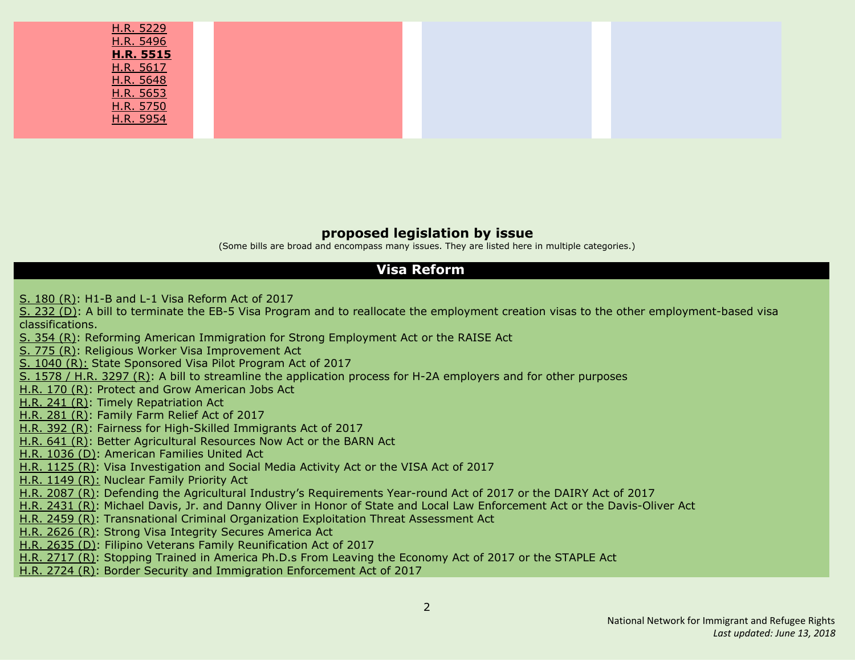| H.R. 5229        |  |
|------------------|--|
| H.R. 5496        |  |
| <b>H.R. 5515</b> |  |
| H.R. 5617        |  |
| H.R. 5648        |  |
| H.R. 5653        |  |
| H.R. 5750        |  |
| H.R. 5954        |  |
|                  |  |

#### **proposed legislation by issue**

(Some bills are broad and encompass many issues. They are listed here in multiple categories.)

#### **Visa Reform**

S. [180](#page-34-3) (R): H1-B and L-1 Visa [Reform](#page-34-3) Act of 2017

S. [232](#page-19-1) (D): A bill to terminate the EB-5 Visa Program and to reallocate the employment creation visas to the other [employment-based](#page-19-1) visa [classifications.](#page-19-1)

S. [354](#page-35-0) (R): Reforming American Immigration for Strong [Employment](#page-35-0) Act or the RAISE Act

S. [775](#page-35-2) (R): Religious Worker Visa [Improvement](#page-35-2) Ac[t](#page-35-2)

S. [1040](#page-19-1) (R): State [Sponsored](#page-19-1) Visa Pilot Program Act of 2017

S. [1578](#page-36-0) / H.R. 3297 (R): A bill to streamline the [application](#page-36-0) process for H-2A employers and for other purposes

[H.R.](#page-9-2) 170 (R): Protect and Grow [American](#page-9-2) Jobs Act

[H.R.](#page-9-4) 241 (R): Timely [Repatriation](#page-9-4) Ac[t](#page-9-4)

[H.R.](#page-10-0) 281 (R): [Family](#page-10-0) Farm Relief Act of 2017

[H.R.](#page-10-3) 392 (R): Fairness for [High-Skilled](#page-10-3) Immigrants Act of 201[7](#page-10-3)

[H.R.](#page-12-2) 641 (R): Better [Agricultural](#page-12-2) Resources Now Act or the BARN Ac[t](#page-12-2)

H.R. [1036](#page-14-4) (D): [American](#page-14-4) Families United Act

H.R. [1125](#page-14-0) (R): Visa [Investigation](#page-14-0) and Social Media Activity Act or the VISA Act of 2017

H.R. [1149](#page-14-1) (R): [Nuclear](#page-14-1) Family Priority Act

H.R. [2087](#page-17-0) (R): Defending the Agricultural Industry's [Requirements](#page-17-0) Year-round Act of 2017 or the DAIRY Act of 2017

H.R. [2431](#page-18-1) (R): Michael Davis, Jr. and Danny Oliver in Honor of State and Local Law [Enforcement](#page-18-1) Act or the Davis-Oliver Ac[t](#page-18-1)

H.R. [2459](#page-18-2) (R): [Transnational](#page-18-2) Criminal Organization Exploitation Threat Assessment Act

H.R. [2626](#page-19-1) (R): Strong Visa [Integrity](#page-19-1) Secures America Act

H.R. [2635](#page-19-2) (D): Filipino Veterans Family [Reunification](#page-19-2) Act of 201[7](#page-19-2)

H.R. [2717](#page-20-0) (R): Stopping Trained in America Ph.D.s From Leaving the [Economy](#page-20-0) Act of 2017 or the STAPLE Act

H.R. [2724](#page-20-1) (R): Border Security and Immigration [Enforcement](#page-20-1) Act of 2017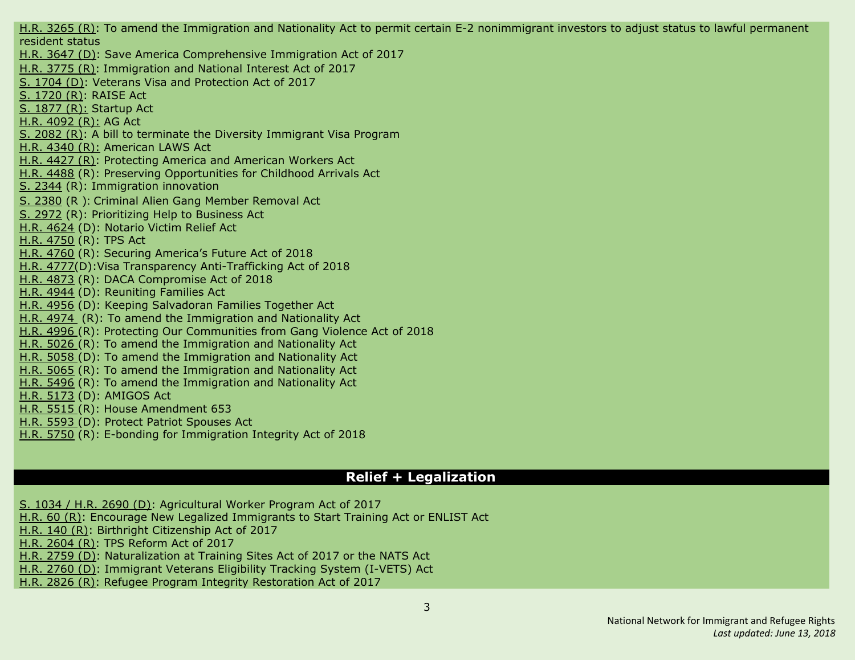H.R. [3265](#page-23-0) (R): To amend the Immigration and Nationality Act to permit certain E-2 [nonimmigrant](#page-23-0) investors to adjust status to lawful permanent [resident](#page-23-0) status H.R. [3647](#page-24-4) (D): Save America Comprehensive Immigration Act of 2017 H.R. [3775](#page-25-0) (R): Immigration and National Interest Act of 2017 S. [1704](#page-37-2) (D): Veterans Visa and Protection Act of 2017 S. [1720](#page-37-1) (R): RAISE Act S. [1877](#page-38-2) (R): Startup Act H.R. [4092](#page-25-2) (R): AG Act S. [2082](#page-39-0) (R): A bill to terminate the Diversity Immigrant Visa Program H.R. [4340](#page-26-3) (R): American LAWS Act H.R. [4427](#page-27-0) (R): Protecting America and American Workers Act H.R. [4488](#page-27-1) (R): Preserving Opportunities for Childhood Arrivals Act S. [2344](#page-40-0) (R): Immigration innovation S. [2380](#page-41-0) (R ): Criminal Alien Gang Member Removal Act S. [2972](#page-42-0) (R): [Prioritizing](#page-42-0) Help to Business Act H.R. [4624](#page-27-5) (D): Notario Victim Relief Act H.R. [4750](#page-27-2) (R): TPS Act H.R. [4760](#page-27-3) (R): Securing America's Future Act of 2018 H.R. [4777\(](#page-28-4)D):Visa Transparency Anti-Trafficking Act of 2018 H.R. [4873](#page-28-3) (R): DACA Compromise Act of 2018 H.R. [4944](#page-29-5) (D): Reuniting Families Act H.R. [4956](#page-29-6) (D): Keeping Salvadoran Families Together Act H.R. [4974](#page-30-0) (R): To amend the Immigration and Nationality Act H.R. [4996](#page-30-1) (R): Protecting Our Communities from Gang Violence Act of 2018 H.R. [5026](#page-30-2) (R): To amend the Immigration and Nationality Act H.R. [5058](#page-30-4) (D): To amend the Immigration and Nationality Act H.R. [5065](#page-30-3) (R): To amend the Immigration and Nationality Act H.R. [5496](#page-31-5) (R): To amend the Immigration and Nationality Act H.R. [5173](#page-30-6) (D): AMIGOS Act H.R. [5515](#page-32-2) (R): House [Amendment](#page-32-2) 653 H.R. [5593](#page-32-0) (D): Protect Patriot [Spouses](#page-32-0) Act H.R. [5750](#page-33-4) (R): E-bonding for [Immigration](#page-33-4) Integrity Act of 2018

#### **Relief + Legalization**

- S. [1034](#page-19-4) / H.R. 2690 (D): [Agricultural](#page-19-4) Worker Program Act of 201[7](#page-19-4)
- [H.R.](#page-8-1) 60 (R): Encourage New Legalized [Immigrants](#page-8-1) to Start Training Act or ENLIST Act
- [H.R.](#page-9-1) 140 (R): Birthright [Citizenship](#page-9-1) Act of 201[7](#page-9-1)
- H.R. [2604](#page-19-0) (R): TPS [Reform](#page-19-0) Act of 2017

H.R. [2759](#page-20-2) (D): [Naturalization](#page-20-2) at Training Sites Act of 2017 or the NATS Act

H.R. [2760](#page-20-3) (D): [Immigrant](#page-20-3) Veterans Eligibility Tracking System (I-VETS) Ac[t](#page-20-3)

H.R. [2826](#page-21-2) (R): Refugee Program Integrity [Restoration](#page-21-2) Act of 201[7](#page-21-2)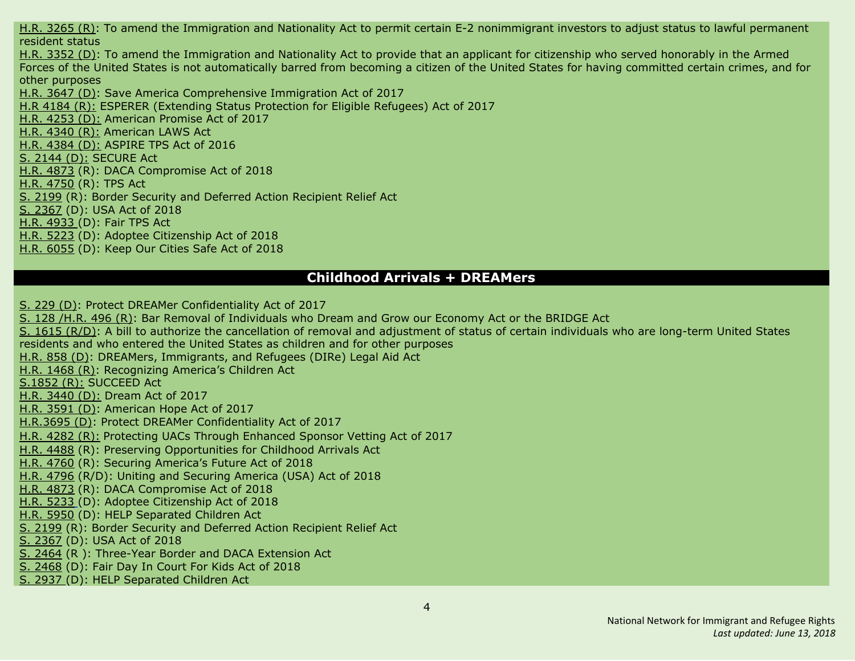H.R. [3265](#page-23-0) (R): To amend the Immigration and Nationality Act to permit certain E-2 [nonimmigrant](#page-23-0) investors to adjust status to lawful permanent [resident](#page-23-0) status H.R. [3352](#page-23-4) (D): To amend the [Immigration](#page-23-4) and Nationality Act to provide that an applicant for citizenship who served honorably in the Armed Forces of the United States is not [automatically](#page-23-4) barred from becoming a citizen of the United States for having committed certain crimes, and for other [purposes](#page-23-4) H.R. [3647](#page-24-4) (D): Save America Comprehensive Immigration Act of 2017 H.R [4184](#page-25-3) (R): ESPERER (Extending Status Protection for Eligible Refugees) Act of 2017 H.R. [4253](#page-25-6) (D): American Promise Act of 2017 H.R. [4340](#page-26-3) (R): American LAWS Act H.R. [4384](#page-26-5) (D): ASPIRE TPS Act of 2016 S. [2144](#page-39-3) (D): SECURE Act H.R. [4873](#page-28-3) (R): DACA Compromise Act of 2018 H.R. [4750](#page-27-2) (R): TPS Act S. [2199](#page-39-2) (R): Border Security and Deferred Action Recipient Relief Act S. [2367](#page-40-4) (D): USA Act of 2018 H.R. [4933](#page-29-3) (D): Fair TPS Act H.R. [5223](#page-31-1) (D): Adoptee Citizenship Act of 2018 H.R. [6055](#page-33-3) (D): Keep Our [Cities](#page-33-3) Safe Act of 2018

#### **Childhood Arrivals + DREAMers**

S. [229](#page-35-3) (D): Protect DREAMer [Confidentiality](#page-35-3) Act of 2017

S. [128](#page-12-4) [/H.R.](#page-12-0) 496 (R): Bar Removal of [Individuals](#page-12-0) who Dream and Grow our Economy Act or the BRIDGE Act S. 1615 [\(R/D\)](#page-37-0): A bill to authorize the [cancellation](#page-37-0) of removal and adjustment of status of certain individuals who are long-term United States [residents](#page-37-0) and who entered the United States as children and for other purposes [H.R.](#page-13-3) 858 (D): DREAMers, [Immigrants,](#page-13-3) and Refugees (DIRe) Legal Aid Ac[t](#page-13-3) H.R. [1468](#page-15-0) (R): [Recognizing](#page-15-0) America's Children Act [S.1852](#page-38-1) (R): SUCCEED Act H.R. [3440](#page-23-5) (D): Dream Act of 2017 H.R. [3591](#page-24-3) (D): American Hope Act of 2017 [H.R.3695](#page-24-5) (D): Protect DREAMer Confidentiality Act of 2017 H.R. [4282](#page-26-0) (R): Protecting UACs Through Enhanced Sponsor Vetting Act of 2017 H.R. [4488](#page-27-1) (R): Preserving Opportunities for Childhood Arrivals Act H.R. [4760](#page-27-3) (R): Securing America's Future Act of 2018 H.R. [4796](#page-28-0) (R/D): Uniting and Securing America (USA) Act of 2018 H.R. [4873](#page-28-3) (R): DACA Compromise Act of 2018 H.R. [5233](#page-31-1) (D): Adoptee Citizenship Act of 2018 H.R. [5950](#page-33-1) (D): HELP [Separated](#page-33-1) Children Act S. [2199](#page-39-2) (R): Border Security and Deferred Action Recipient Relief Act S. [2367](#page-40-4) (D): USA Act of 2018 S. [2464](#page-41-1) (R ): Three-Year Border and DACA Extension Act S. [2468](#page-42-1) (D): Fair Day In Court For Kids Act of 2018 S. [2937](#page-33-1) (D): HELP [Separated](#page-33-1) Children Act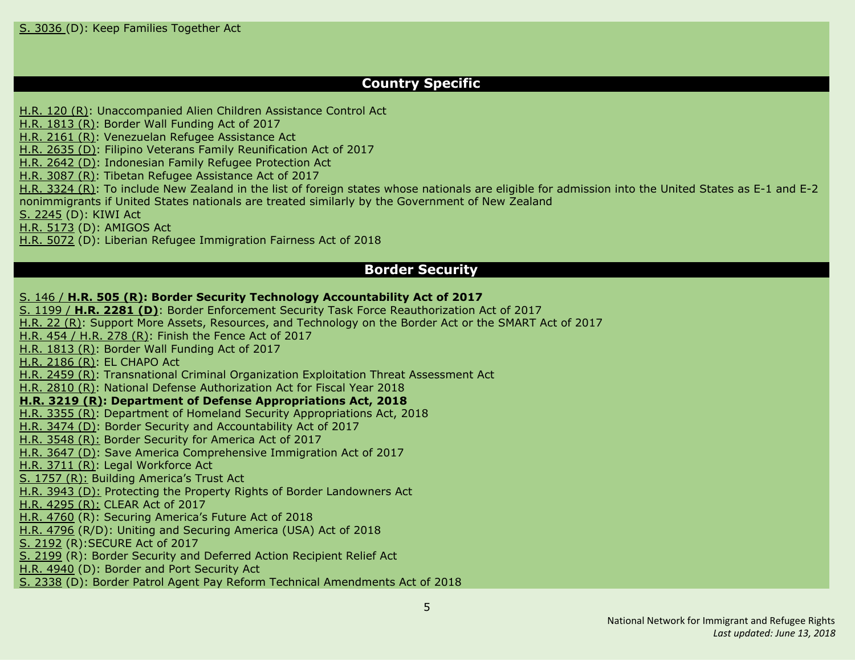#### **Country Specific**

[H.R.](#page-9-0) 120 (R): [Unaccompanied](#page-9-0) Alien Children Assistance Control Act

H.R. [1813](#page-16-0) (R): Border Wall [Funding](#page-16-0) Act of 2017

H.R. [2161](#page-17-1) (R): [Venezuelan](#page-17-1) Refugee Assistance Act

H.R. [2635](#page-19-2) (D): Filipino Veterans Family [Reunification](#page-19-2) Act of 201[7](#page-19-2)

H.R. [2642](#page-19-3) (D): Indonesian Family Refugee Protection Act

H.R. [3087](#page-22-1) (R): Tibetan Refugee [Assistance](#page-22-1) Act of 2017

H.R. [3324](#page-23-1) (R): To include New Zealand in the list of foreign states whose nationals are eligible for [admission](#page-23-1) into the United States as E-1 and E-2 [nonimmigrants](#page-23-1) if United States nationals are treated similarly by the Government of New Zealand

S. [2245](#page-40-1) (D): KIWI Act

H.R. [5173](#page-30-6) (D): AMIGOS Act

H.R. [5072](#page-30-5) (D): Liberian Refugee Immigration Fairness Act of 201[8](#page-23-1)

#### **Border Security**

#### S. [146](#page-12-1) / **[H.R.](#page-12-1) 505 (R): Border Security Technology [Accountability](#page-12-1) Act of 201[7](#page-12-1)**

S. [1199](#page-36-4) / **H.R. [2281](#page-36-4) (D)**: Border Enforcement Security Task Force [Reauthorization](#page-36-4) Act of 2017 [H.R.](#page-36-4) 22 (R): Support More Assets, Resources, and [Technology](#page-36-4) on the Border Act or the SMART Act of 201[7](#page-36-4) [H.R.](#page-11-3) 454 / H.R. 278 (R): Finish the [Fence](#page-11-3) Act of 2017 H.R. [1813](#page-16-0) (R): Border Wall [Funding](#page-16-0) Act of 2017 H.R. [2186](#page-17-2) (R): EL [CHAPO](#page-17-2) Act H.R. [2459](#page-18-2) (R): [Transnational](#page-18-2) Criminal Organization Exploitation Threat Assessment Act H.R. [2810](#page-21-0) (R): National Defense [Authorization](#page-21-0) Act for Fiscal Year 2018 **H.R. [3219](#page-22-2) (R): Department of Defense [Appropriations](#page-22-2) Act, 2018** H.R. [3355](#page-23-2) (R): Department of Homeland Security [Appropriations](#page-23-2) Act, 2018 H.R. [3474](#page-24-2) (D): Border Security and Accountability Act of 2017 H.R. [3548](#page-24-0) (R): Border Security for America Act of 2017 H.R. [3647](#page-24-4) (D): Save America Comprehensive Immigration Act of 2017 H.R. [3711](#page-24-1) (R): Legal Workforce Act S. [1757](#page-38-0) (R): Building America's Trust Act H.R. [3943](#page-25-5) (D): Protecting the Property Rights of Border Landowners Act H.R. [4295](#page-26-1) (R): CLEAR Act of 2017 H.R. [4760](#page-27-3) (R): Securing America's Future Act of 2018 H.R. [4796](#page-28-0) (R/D): Uniting and Securing America (USA) Act of 2018 S. [2192](#page-39-1) (R):SECURE Act of 2017 S. [2199](#page-39-2) (R): Border Security and Deferred Action Recipient Relief Act H.R. [4940](#page-29-4) (D): Border and Port Security Act S. [2338](#page-40-3) (D): Border Patrol Agent Pay Reform Technical Amendments Act of 2018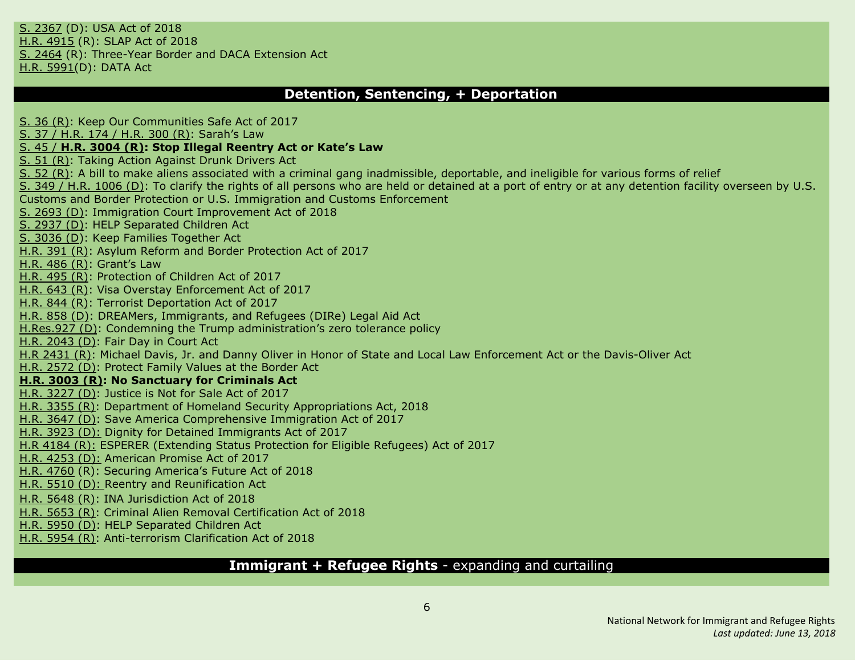S. [2367](#page-40-4) (D): USA Act of 2018 H.R. [4915](#page-29-0) (R): SLAP Act of 2018 S. [2464](#page-41-1) (R): Three-Year Border and DACA Extension Act H.R. [5991\(](#page-33-2)D): [DATA](#page-33-2) Act

#### **Detention, Sentencing, + Deportation**

S. 36 [\(R\)](#page-34-0): Keep Our [Communities](#page-34-0) Safe Act of 2017 S. 37 / [H.R.](#page-9-3) 174 / H.R. 300 (R): [Sarah's](#page-9-3) La[w](#page-9-3) S. [45](#page-10-1) / **H.R. [3004](#page-10-1) (R): Stop Illegal [Reentry](#page-10-1) Act or Kate's La[w](#page-10-1)** S. 51 [\(R\)](#page-34-1): Taking Action [Against](#page-34-1) Drunk Drivers Act S. 52 [\(R\)](#page-34-2): A bill to make aliens associated with a criminal gang [inadmissible,](#page-34-2) deportable, and ineligible for various forms of relief S. 349 / H.R. [1006](#page-14-3) (D): To clarify the rights of all persons who are held or detained at a port of entry or at any [detention](#page-14-3) facility overseen by U.S. Customs and Border Protection or U.S. Immigration and Customs [Enforcement](#page-14-3) S. [2693](#page-42-3) (D): Immigration Court [Improvement](#page-42-3) Act of 201[8](#page-14-3) S. [2937](#page-33-1) (D): HELP [Separated](#page-33-1) Children Act S. [3036](#page-42-4) (D): Keep Families [Together](#page-42-4) Ac[t](#page-14-3) [H.R.](#page-10-2) 391 (R): Asylum Reform and Border [Protection](#page-10-2) Act of 201[7](#page-10-2) [H.R.](#page-11-0) 486 (R): [Grant's](#page-11-0) Law [H.R.](#page-11-1) 495 (R): [Protection](#page-11-1) of Children Act of 201[7](#page-11-1) [H.R.](#page-12-3) 643 (R): Visa Overstay [Enforcement](#page-12-3) Act of 2017 [H.R.](#page-13-0) 844 (R): Terrorist [Deportation](#page-13-0) Act of 201[7](#page-13-0) [H.R.](#page-13-3) 858 (D): DREAMers, Immigrants, and Refugees (DIRe) Legal Aid Act [H.Res.927](#page-14-2) (D): Condemning the Trump administration's zero tolerance policy H.R. [2043](#page-16-1) (D): Fair Day in [Court](#page-16-1) Ac[t](#page-16-1) H.R [2431](#page-18-1) (R): Michael Davis, Jr. and Danny Oliver in Honor of State and Local Law Enforcement Act or the Davis-Oliver Act H.R. [2572](#page-18-4) (D): [Protect](#page-18-4) Family Values at the Border Act **H.R. [3003](#page-22-0) (R): No [Sanctuary](#page-22-0) for Criminals Ac[t](#page-22-0)** H.R. [3227](#page-23-3) (D): [Justice](#page-23-3) is Not for Sale Act of 2017 H.R. [3355](#page-23-2) (R): Department of Homeland Security [Appropriations](#page-23-2) Act, 2018 H.R. [3647](#page-24-4) (D): Save America Comprehensive Immigration Act of 2017 H.R. [3923](#page-25-4) (D): Dignity for Detained Immigrants Act of 2017 H.R [4184](#page-25-3) (R): ESPERER (Extending Status Protection for Eligible Refugees) Act of 2017 H.R. [4253](#page-25-6) (D): American Promise Act of 2017 H.R. [4760](#page-27-3) (R): Securing America's Future Act of 2018 H.R. [5510](#page-31-3) (D): Reentry and [Reunification](#page-31-3) Act H.R. [5648](#page-32-4) (R): INA [Jurisdiction](#page-32-4) Act of 2018 H.R. [5653](#page-32-5) (R): Criminal Alien Removal [Certification](#page-32-5) Act of 2018 H.R. [5950](#page-33-1) (D): HELP [Separated](#page-33-1) Children Act H.R. [5954](#page-33-0) (R): [Anti-terrorism](#page-33-0) Clarification Act of 2018

#### **Immigrant + Refugee Rights** - expanding and curtailing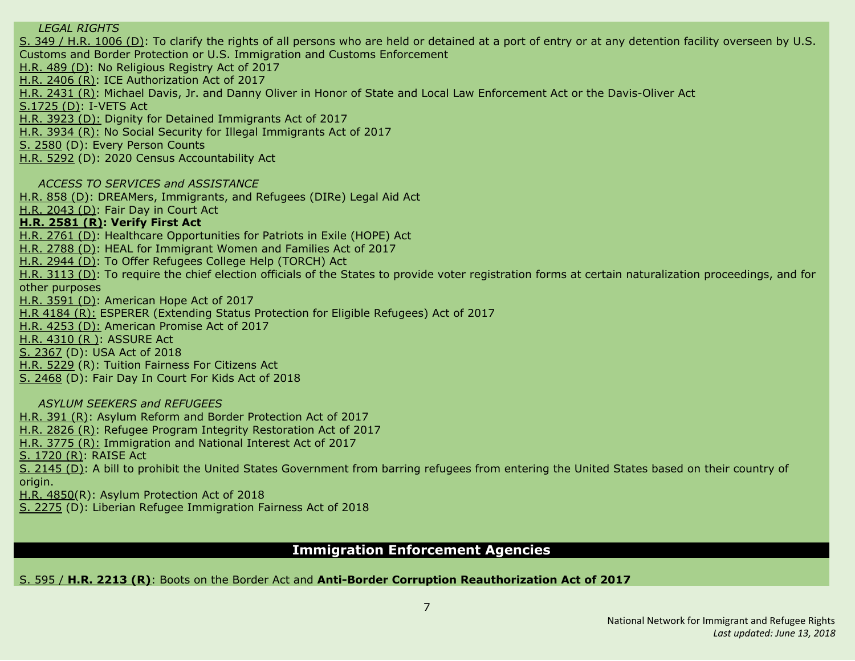#### *LEGAL RIGHTS*

S. 349 / H.R. [1006](#page-14-3) (D): To clarify the rights of all persons who are held or detained at a port of entry or at any [detention](#page-14-3) facility overseen by U.S. Customs and Border Protection or U.S. Immigration and Customs [Enforcement](#page-14-3)

[H.R.](#page-11-2) 489 (D): No [Religious](#page-11-2) Registry Act of 2017

H.R. [2406](#page-17-4) (R): ICE [Authorization](#page-17-4) Act of 2017

H.R. [2431](#page-18-1) (R): Michael Davis, Jr. and Danny Oliver in Honor of State and Local Law [Enforcement](#page-18-1) Act or the Davis-Oliver Act

[S.1725](#page-37-3) (D): I-VETS Act

H.R. [3923](#page-25-4) (D): Dignity for Detained Immigrants Act of 2017

H.R. [3934](#page-25-1) (R): No Social Security for Illegal Immigrants Act of 2017

S. [2580](#page-42-2) (D): Every Person Counts

H.R. [5292](#page-31-2) (D): 2020 Census Accountability Act

*ACCESS TO SERVICES and ASSISTANCE*

[H.R.](#page-13-3) 858 (D): DREAMers, [Immigrants,](#page-13-3) and Refugees (DIRe) Legal Aid Ac[t](#page-13-3)

H.R. [2043](#page-16-1) (D): Fair Day in [Court](#page-16-1) Ac[t](#page-16-1)

#### **H.R. [2581](#page-18-3) (R): Verify First Act**

H.R. [2761](#page-21-3) (D): Healthcare [Opportunities](#page-21-3) for Patriots in Exile (HOPE) Act

H.R. [2788](#page-21-4) (D): HEAL for [Immigrant](#page-21-4) Women and Families Act of 2017

H.R. [2944](#page-21-5) (D): To Offer [Refugees](#page-21-5) College Help (TORCH) Ac[t](#page-21-5)

H.R. [3113](#page-22-4) (D): To require the chief election officials of the States to provide voter registration forms at certain naturalization proceedings, and for other purposes

H.R. [3591](#page-24-3) (D): American Hope Act of 2017

H.R [4184](#page-25-3) (R): ESPERER (Extending Status Protection for Eligible Refugees) Act of 2017

H.R. [4253](#page-25-6) (D): American Promise Act of 2017

H.R. [4310](#page-26-2) (R ): ASSURE Act

S. [2367](#page-40-4) (D): USA Act of 2018

H.R. [5229](#page-31-4) (R): Tuition Fairness For Citizens Act

S. [2468](#page-42-1) (D): Fair Day In Court For Kids Act of 2018

*ASYLUM SEEKERS and REFUGEES*

[H.R.](#page-10-2) 391 (R): Asylum Reform and Border [Protection](#page-10-2) Act of 2017

H.R. [2826](#page-21-2) (R): Refugee Program Integrity [Restoration](#page-21-2) Act of 2017

H.R. [3775](#page-25-0) (R): Immigration and National Interest Act of 2017

S. [1720](#page-37-1) (R): RAISE Act

S. [2145](#page-39-4) (D): A bill to prohibit the United States Government from barring refugees from entering the United States based on their country of origin.

H.R. [4850\(](#page-28-2)R): Asylum Protection Act of 2018

S. [2275](#page-40-2) (D): Liberian Refugee Immigration Fairness Act of 2018

#### **Immigration Enforcement Agencies**

S. [595](#page-17-3) / **H.R. [2213](#page-17-3) (R)**: Boots on the Border Act and **Anti-Border Corruption Reauthorization Act of 2017**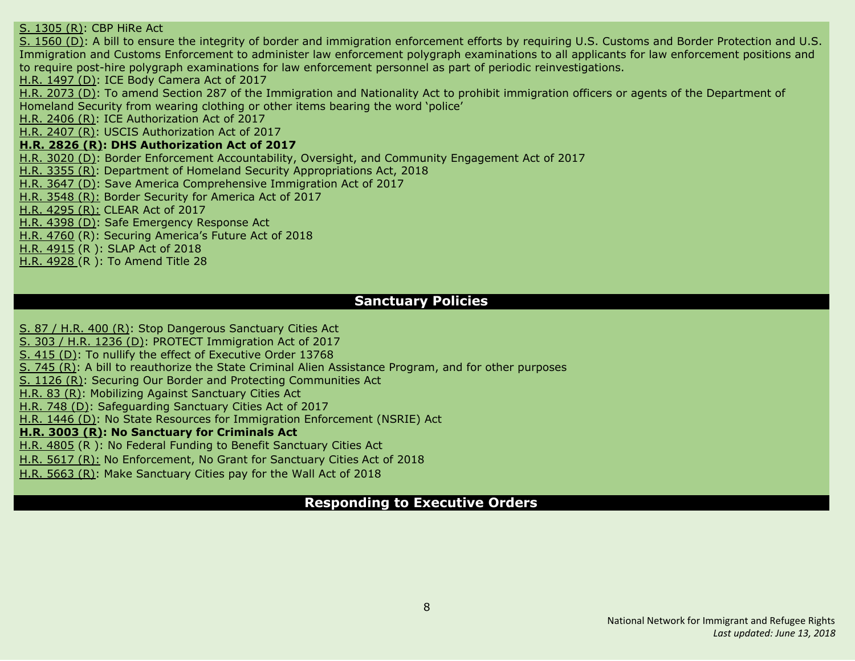S. [1305](#page-36-3) (R): CBP [HiRe](#page-36-3) Ac[t](#page-36-3) S. [1560](#page-36-5) (D): A bill to ensure the integrity of border and immigration [enforcement](#page-36-5) efforts by requiring U.S. Customs and Border Protection and U.S. Immigration and Customs Enforcement to administer law enforcement polygraph [examinations](#page-36-5) to all applicants for law enforcement positions and to require post-hire polygraph examinations for law enforcement personnel as part of periodic [reinvestigations.](#page-36-5) H.R. [1497](#page-16-3) (D): ICE Body [Camera](#page-16-3) Act of 201[7](#page-16-3) H.R. [2073](#page-16-2) (D): To amend Section 287 of the [Immigration](#page-16-2) and Nationality Act to prohibit immigration officers or agents of the Department of [Homeland](#page-16-2) Security from wearing clothing or other items bearing the word 'police' H.R. [2406](#page-17-4) (R): ICE [Authorization](#page-17-4) Act of 2017 H.R. [2407](#page-18-0) (R): USCIS [Authorization](#page-18-0) Act of 201[7](#page-18-0) **H.R. [2826](#page-21-2) (R): DHS [Authorization](#page-21-2) Act of 2017** H.R. [3020](#page-22-3) (D): Border Enforcement [Accountability,](#page-22-3) Oversight, and Community Engagement Act of 2017 H.R. [3355](#page-23-2) (R): Department of Homeland Security [Appropriations](#page-23-2) Act, 2018 H.R. [3647](#page-24-4) (D): Save America Comprehensive Immigration Act of 2017 H.R. [3548](#page-24-0) (R): Border Security for America Act of 2017 H.R. [4295](#page-26-1) (R): CLEAR Act of 2017 H.R. [4398](#page-27-4) (D): Safe Emergency Response Act H.R. [4760](#page-27-3) (R): Securing America's Future Act of 2018 H.R. [4915](#page-29-0) (R ): SLAP Act of 2018 H.R. [4928](#page-29-1) (R ): To Amend Title 28

#### **Sanctuary Policies**

S. 87 / [H.R.](#page-10-4) 400 (R): Stop [Dangerous](#page-10-4) Sanctuary Cities Act

S. 303 / H.R. [1236](#page-15-1) (D): PROTECT [Immigration](#page-15-1) Act of 201[7](#page-15-1)

S. [415](#page-35-5) (D): To nullify the effect of [Executive](#page-35-5) Order 1376[8](#page-35-5)

S. [745](#page-35-1) (R): A bill to [reauthorize](#page-35-1) the State Criminal Alien Assistance Program, and for other purpose[s](#page-35-1)

S. [1126](#page-36-2) (R): Securing Our Border and Protecting [Communities](#page-36-2) Ac[t](#page-36-2)

[H.R.](#page-8-2) 83 (R): Mobilizing Against [Sanctuary](#page-8-2) Cities Act

[H.R.](#page-13-1) 748 (D): [Safeguarding](#page-13-1) Sanctuary Cities Act of 2017

H.R. [1446](#page-15-2) (D): No State Resources for Immigration [Enforcement](#page-15-2) (NSRIE) Act

#### **H.R. [3003](#page-22-0) (R): No [Sanctuary](#page-22-0) for Criminals Act**

H.R. [4805](#page-28-1) (R ): No Federal Funding to Benefit Sanctuary Cities Act

H.R. [5617](#page-32-3) (R): No [Enforcement,](#page-32-3) No Grant for Sanctuary Cities Act of 2018

H.R. [5663](#page-32-1) (R): Make [Sanctuary](#page-32-1) Cities pay for the Wall Act of 2018

#### **Responding to Executive Orders**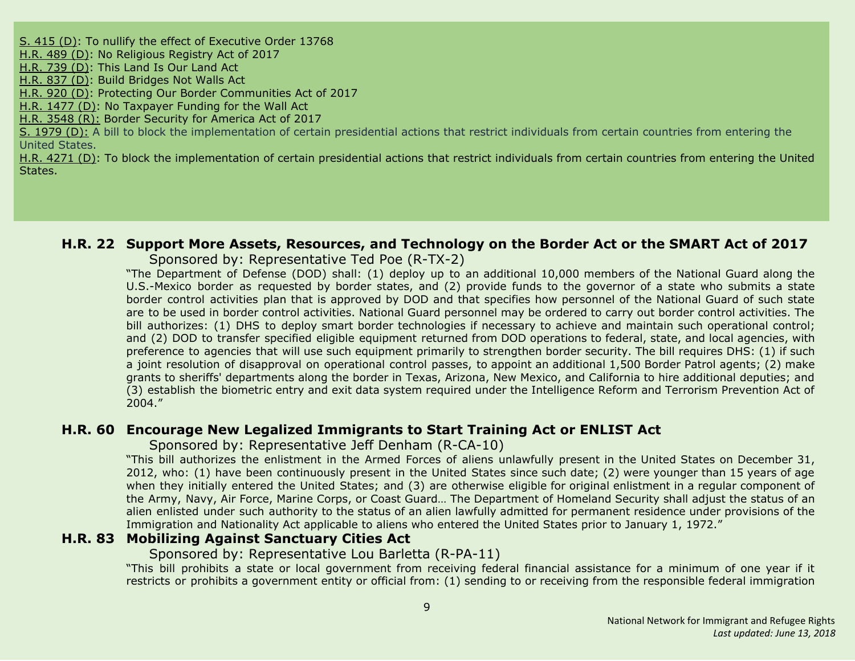S. [415](#page-35-5) (D): To nullify the effect of [Executive](#page-35-5) Order 1376[8](#page-35-5) [H.R.](#page-11-2) 489 (D): No [Religious](#page-11-2) Registry Act of 2017 [H.R.](#page-12-5) 739 (D): This [Land](#page-12-5) Is Our Land Ac[t](#page-12-5) [H.R.](#page-13-2) 837 (D): Build [Bridges](#page-13-2) Not Walls Ac[t](#page-13-2) [H.R.](#page-13-4) 920 (D): Protecting Our Border Communities Act of 2017 H.R. [1477](#page-15-3) (D): No [Taxpayer](#page-15-3) Funding for the Wall Act H.R. [3548](#page-24-0) (R): Border Security for America Act of 2017 S. [1979](#page-38-4) (D): A bill to block the implementation of certain presidential actions that restrict individuals from certain countries from entering the United States. H.R. [4271](#page-26-4) (D): To block the implementation of certain presidential actions that restrict individuals from certain countries from entering the United States.

# <span id="page-8-0"></span>**H.R. 22 Support More Assets, Resources, and Technology on the Border Act or the SMART Act of 2017**

Sponsored by: Representative Ted Poe (R-TX-2)

"The Department of Defense (DOD) shall: (1) deploy up to an additional 10,000 members of the National Guard along the U.S.-Mexico border as requested by border states, and (2) provide funds to the governor of a state who submits a state border control activities plan that is approved by DOD and that specifies how personnel of the National Guard of such state are to be used in border control activities. National Guard personnel may be ordered to carry out border control activities. The bill authorizes: (1) DHS to deploy smart border technologies if necessary to achieve and maintain such operational control; and (2) DOD to transfer specified eligible equipment returned from DOD operations to federal, state, and local agencies, with preference to agencies that will use such equipment primarily to strengthen border security. The bill requires DHS: (1) if such a joint resolution of disapproval on operational control passes, to appoint an additional 1,500 Border Patrol agents; (2) make grants to sheriffs' departments along the border in Texas, Arizona, New Mexico, and California to hire additional deputies; and (3) establish the biometric entry and exit data system required under the Intelligence Reform and Terrorism Prevention Act of 2004."

#### <span id="page-8-1"></span>**H.R. 60 Encourage New Legalized Immigrants to Start Training Act or ENLIST Act**

Sponsored by: Representative Jeff Denham (R-CA-10)

"This bill authorizes the enlistment in the Armed Forces of aliens unlawfully present in the United States on December 31, 2012, who: (1) have been continuously present in the United States since such date; (2) were younger than 15 years of age when they initially entered the United States; and (3) are otherwise eligible for original enlistment in a regular component of the Army, Navy, Air Force, Marine Corps, or Coast Guard… The Department of Homeland Security shall adjust the status of an alien enlisted under such authority to the status of an alien lawfully admitted for permanent residence under provisions of the Immigration and Nationality Act applicable to aliens who entered the United States prior to January 1, 1972."

## <span id="page-8-2"></span>**H.R. 83 Mobilizing Against Sanctuary Cities Act**

#### Sponsored by: Representative Lou Barletta (R-PA-11)

"This bill prohibits a state or local government from receiving federal financial assistance for a minimum of one year if it restricts or prohibits a government entity or official from: (1) sending to or receiving from the responsible federal immigration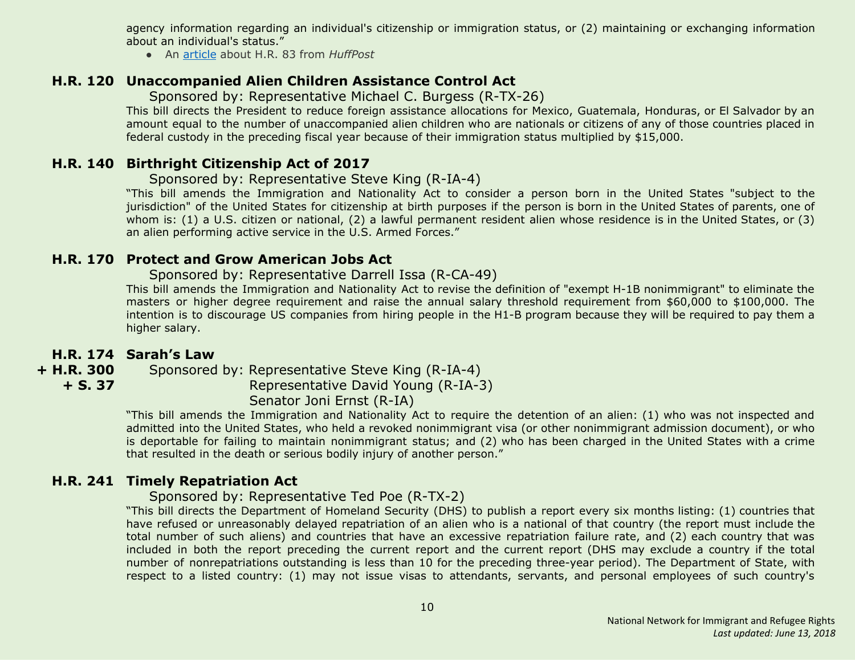agency information regarding an individual's citizenship or immigration status, or (2) maintaining or exchanging information about an individual's status."

● An [article](http://www.huffingtonpost.com/entry/gop-sanctuary-cities-funds_us_58730858e4b02b5f85898d46) about H.R. 83 from *HuffPost*

#### <span id="page-9-0"></span>**H.R. 120 Unaccompanied Alien Children Assistance Control Act**

Sponsored by: Representative Michael C. Burgess (R-TX-26)

This bill directs the President to reduce foreign assistance allocations for Mexico, Guatemala, Honduras, or El Salvador by an amount equal to the number of unaccompanied alien children who are nationals or citizens of any of those countries placed in federal custody in the preceding fiscal year because of their immigration status multiplied by \$15,000.

#### <span id="page-9-1"></span>**H.R. 140 Birthright Citizenship Act of 2017**

Sponsored by: Representative Steve King (R-IA-4)

"This bill amends the Immigration and Nationality Act to consider a person born in the United States "subject to the jurisdiction" of the United States for citizenship at birth purposes if the person is born in the United States of parents, one of whom is: (1) a U.S. citizen or national, (2) a lawful permanent resident alien whose residence is in the United States, or (3) an alien performing active service in the U.S. Armed Forces."

#### <span id="page-9-2"></span>**H.R. 170 Protect and Grow American Jobs Act**

#### Sponsored by: Representative Darrell Issa (R-CA-49)

This bill amends the Immigration and Nationality Act to revise the definition of "exempt H-1B nonimmigrant" to eliminate the masters or higher degree requirement and raise the annual salary threshold requirement from \$60,000 to \$100,000. The intention is to discourage US companies from hiring people in the H1-B program because they will be required to pay them a higher salary.

#### <span id="page-9-3"></span>**H.R. 174 Sarah's Law**

**+ H.R. 300 + S. 37** Sponsored by: Representative Steve King (R-IA-4) Representative David Young (R-IA-3) Senator Joni Ernst (R-IA)

"This bill amends the Immigration and Nationality Act to require the detention of an alien: (1) who was not inspected and admitted into the United States, who held a revoked nonimmigrant visa (or other nonimmigrant admission document), or who is deportable for failing to maintain nonimmigrant status; and (2) who has been charged in the United States with a crime that resulted in the death or serious bodily injury of another person."

## <span id="page-9-4"></span>**H.R. 241 Timely Repatriation Act**

#### Sponsored by: Representative Ted Poe (R-TX-2)

"This bill directs the Department of Homeland Security (DHS) to publish a report every six months listing: (1) countries that have refused or unreasonably delayed repatriation of an alien who is a national of that country (the report must include the total number of such aliens) and countries that have an excessive repatriation failure rate, and (2) each country that was included in both the report preceding the current report and the current report (DHS may exclude a country if the total number of nonrepatriations outstanding is less than 10 for the preceding three-year period). The Department of State, with respect to a listed country: (1) may not issue visas to attendants, servants, and personal employees of such country's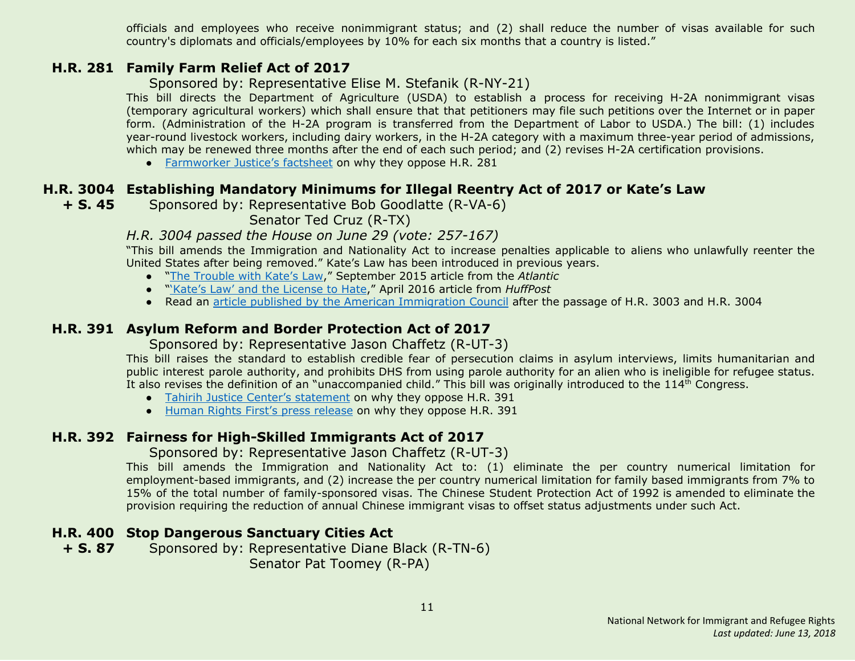officials and employees who receive nonimmigrant status; and (2) shall reduce the number of visas available for such country's diplomats and officials/employees by 10% for each six months that a country is listed."

#### <span id="page-10-0"></span>**H.R. 281 Family Farm Relief Act of 2017**

Sponsored by: Representative Elise M. Stefanik (R-NY-21)

This bill directs the Department of Agriculture (USDA) to establish a process for receiving H-2A nonimmigrant visas (temporary agricultural workers) which shall ensure that that petitioners may file such petitions over the Internet or in paper form. (Administration of the H-2A program is transferred from the Department of Labor to USDA.) The bill: (1) includes year-round livestock workers, including dairy workers, in the H-2A category with a maximum three-year period of admissions, which may be renewed three months after the end of each such period; and (2) revises H-2A certification provisions.

• [Farmworker](https://www.farmworkerjustice.org/sites/default/files/FactSheetHR281-Jan2017.pdf) Justice's factsheet on why they oppose H.R. 281

## <span id="page-10-1"></span>**H.R. 3004 Establishing Mandatory Minimums for Illegal Reentry Act of 2017 or Kate's Law**

**+ S. 45** Sponsored by: Representative Bob Goodlatte (R-VA-6)

Senator Ted Cruz (R-TX)

#### *H.R. 3004 passed the House on June 29 (vote: 257-167)*

"This bill amends the Immigration and Nationality Act to increase penalties applicable to aliens who unlawfully reenter the United States after being removed." Kate's Law has been introduced in previous years.

- "The [Trouble](https://www.theatlantic.com/politics/archive/2015/09/kates-law-mandatory-sentencing/403990/) with Kate's Law," September 2015 article from the *Atlantic*
- "'Kate's Law' and the [License](http://www.huffingtonpost.com/samanta-honigman/kates-law-and-the-license_b_9789508.html) to Hate," April 2016 article from *HuffPost*
- Read an article published by the American [Immigration](http://immigrationimpact.com/2017/06/30/house-passes-anti-immigrant-bills/) Council after the passage of H.R. 3003 and H.R. 3004

## <span id="page-10-2"></span>**H.R. 391 Asylum Reform and Border Protection Act of 2017**

Sponsored by: Representative Jason Chaffetz (R-UT-3)

This bill raises the standard to establish credible fear of persecution claims in asylum interviews, limits humanitarian and public interest parole authority, and prohibits DHS from using parole authority for an alien who is ineligible for refugee status. It also revises the definition of an "unaccompanied child." This bill was originally introduced to the 114<sup>th</sup> Congress.

- Tahirih Justice Center's [statement](http://www.tahirih.org/wp-content/uploads/2017/02/TJC-Chaffetz-bill.pdf) on why they oppose H.R. 391
- Human Rights First's press [release](http://www.humanrightsfirst.org/press-release/house-should-reject-bills-undermine-us-protection-refugees) on why they oppose H.R. 391

## <span id="page-10-3"></span>**H.R. 392 Fairness for High-Skilled Immigrants Act of 2017**

Sponsored by: Representative Jason Chaffetz (R-UT-3)

This bill amends the Immigration and Nationality Act to: (1) eliminate the per country numerical limitation for employment-based immigrants, and (2) increase the per country numerical limitation for family based immigrants from 7% to 15% of the total number of family-sponsored visas. The Chinese Student Protection Act of 1992 is amended to eliminate the provision requiring the reduction of annual Chinese immigrant visas to offset status adjustments under such Act.

## <span id="page-10-4"></span>**H.R. 400 Stop Dangerous Sanctuary Cities Act**

**+ S. 87** Sponsored by: Representative Diane Black (R-TN-6) Senator Pat Toomey (R-PA)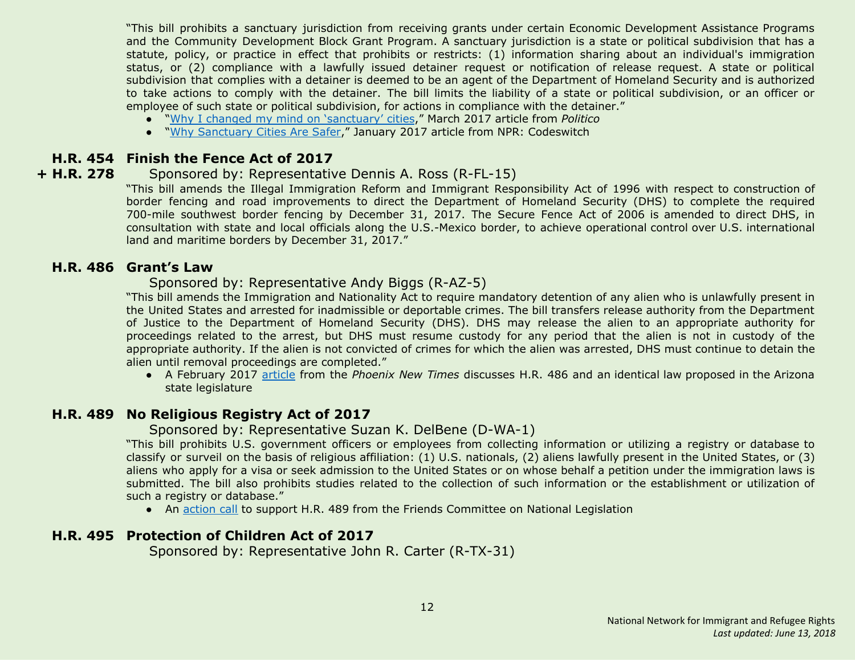"This bill prohibits a sanctuary jurisdiction from receiving grants under certain Economic Development Assistance Programs and the Community Development Block Grant Program. A sanctuary jurisdiction is a state or political subdivision that has a statute, policy, or practice in effect that prohibits or restricts: (1) information sharing about an individual's immigration status, or (2) compliance with a lawfully issued detainer request or notification of release request. A state or political subdivision that complies with a detainer is deemed to be an agent of the Department of Homeland Security and is authorized to take actions to comply with the detainer. The bill limits the liability of a state or political subdivision, or an officer or employee of such state or political subdivision, for actions in compliance with the detainer."

- "Why I changed my mind on ['sanctuary'](http://www.politico.com/agenda/story/2017/03/changed-position-sanctuary-cities-trump-000386) cities," March 2017 article from *Politico*
- "Why [Sanctuary](http://www.npr.org/sections/codeswitch/2017/01/29/512002076/why-sanctuary-cities-are-safer) Cities Are Safer," January 2017 article from NPR: Codeswitch

#### <span id="page-11-3"></span>**H.R. 454 Finish the Fence Act of 2017**

#### **+ H.R. 278** Sponsored by: Representative Dennis A. Ross (R-FL-15)

"This bill amends the Illegal Immigration Reform and Immigrant Responsibility Act of 1996 with respect to construction of border fencing and road improvements to direct the Department of Homeland Security (DHS) to complete the required 700-mile southwest border fencing by December 31, 2017. The Secure Fence Act of 2006 is amended to direct DHS, in consultation with state and local officials along the U.S.-Mexico border, to achieve operational control over U.S. international land and maritime borders by December 31, 2017."

#### <span id="page-11-0"></span>**H.R. 486 Grant's Law**

#### Sponsored by: Representative Andy Biggs (R-AZ-5)

"This bill amends the Immigration and Nationality Act to require mandatory detention of any alien who is unlawfully present in the United States and arrested for inadmissible or deportable crimes. The bill transfers release authority from the Department of Justice to the Department of Homeland Security (DHS). DHS may release the alien to an appropriate authority for proceedings related to the arrest, but DHS must resume custody for any period that the alien is not in custody of the appropriate authority. If the alien is not convicted of crimes for which the alien was arrested, DHS must continue to detain the alien until removal proceedings are completed."

● A February 2017 [article](http://www.phoenixnewtimes.com/content/printView/9061789) from the *Phoenix New Times* discusses H.R. 486 and an identical law proposed in the Arizona state legislature

## <span id="page-11-2"></span>**H.R. 489 No Religious Registry Act of 2017**

#### Sponsored by: Representative Suzan K. DelBene (D-WA-1)

"This bill prohibits U.S. government officers or employees from collecting information or utilizing a registry or database to classify or surveil on the basis of religious affiliation: (1) U.S. nationals, (2) aliens lawfully present in the United States, or (3) aliens who apply for a visa or seek admission to the United States or on whose behalf a petition under the immigration laws is submitted. The bill also prohibits studies related to the collection of such information or the establishment or utilization of such a registry or database."

• An [action](https://www.fcnl.org/updates/oppose-the-creation-of-a-religious-registry-472) call to support H.R. 489 from the Friends Committee on National Legislation

#### <span id="page-11-1"></span>**H.R. 495 Protection of Children Act of 2017**

Sponsored by: Representative John R. Carter (R-TX-31)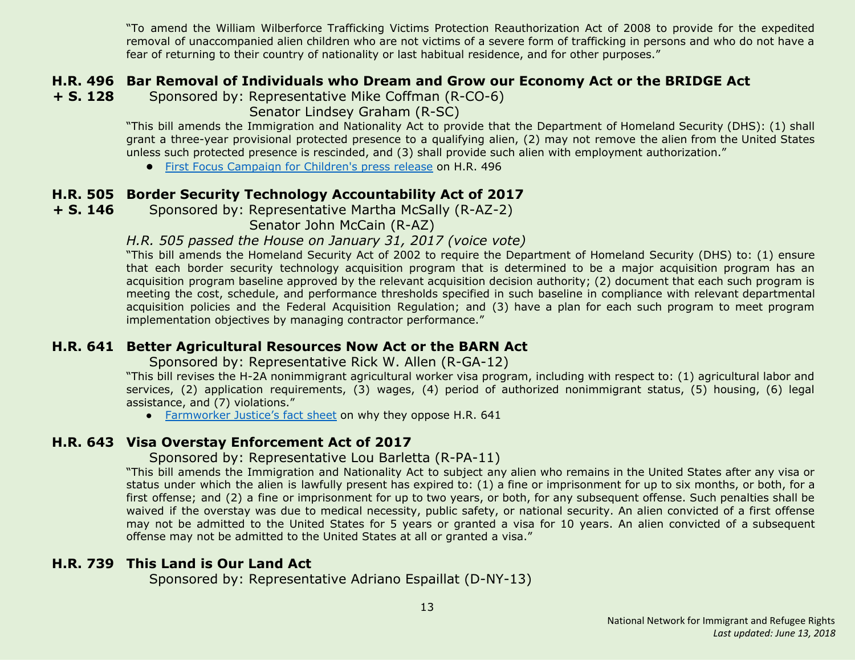"To amend the William Wilberforce Trafficking Victims Protection Reauthorization Act of 2008 to provide for the expedited removal of unaccompanied alien children who are not victims of a severe form of trafficking in persons and who do not have a fear of returning to their country of nationality or last habitual residence, and for other purposes."

#### <span id="page-12-0"></span>**H.R. 496 Bar Removal of Individuals who Dream and Grow our Economy Act or the BRIDGE Act**

<span id="page-12-4"></span>**+ S. 128** Sponsored by: Representative Mike Coffman (R-CO-6)

Senator Lindsey Graham (R-SC)

"This bill amends the Immigration and Nationality Act to provide that the Department of Homeland Security (DHS): (1) shall grant a three-year provisional protected presence to a qualifying alien, (2) may not remove the alien from the United States unless such protected presence is rescinded, and (3) shall provide such alien with employment authorization."

**●** First Focus [Campaign](https://campaignforchildren.org/news/press-release/senate-reintroduces-bipartisan-bridge-act-to-protect-immigrant-youth/) for Children's press release on H.R. 496

#### <span id="page-12-1"></span>**H.R. 505 Border Security Technology Accountability Act of 2017**

**+ S. 146** Sponsored by: Representative Martha McSally (R-AZ-2)

Senator John McCain (R-AZ)

#### *H.R. 505 passed the House on January 31, 2017 (voice vote)*

"This bill amends the Homeland Security Act of 2002 to require the Department of Homeland Security (DHS) to: (1) ensure that each border security technology acquisition program that is determined to be a major acquisition program has an acquisition program baseline approved by the relevant acquisition decision authority; (2) document that each such program is meeting the cost, schedule, and performance thresholds specified in such baseline in compliance with relevant departmental acquisition policies and the Federal Acquisition Regulation; and (3) have a plan for each such program to meet program implementation objectives by managing contractor performance."

#### <span id="page-12-2"></span>**H.R. 641 Better Agricultural Resources Now Act or the BARN Act**

Sponsored by: Representative Rick W. Allen (R-GA-12)

"This bill revises the H-2A nonimmigrant agricultural worker visa program, including with respect to: (1) agricultural labor and services, (2) application requirements, (3) wages, (4) period of authorized nonimmigrant status, (5) housing, (6) legal assistance, and (7) violations."

• [Farmworker](https://www.farmworkerjustice.org/sites/default/files/FJ-BARN%20ActSummary6-12-15.pdf) Justice's fact sheet on why they oppose H.R. 641

#### <span id="page-12-3"></span>**H.R. 643 Visa Overstay Enforcement Act of 2017**

#### Sponsored by: Representative Lou Barletta (R-PA-11)

"This bill amends the Immigration and Nationality Act to subject any alien who remains in the United States after any visa or status under which the alien is lawfully present has expired to: (1) a fine or imprisonment for up to six months, or both, for a first offense; and (2) a fine or imprisonment for up to two years, or both, for any subsequent offense. Such penalties shall be waived if the overstay was due to medical necessity, public safety, or national security. An alien convicted of a first offense may not be admitted to the United States for 5 years or granted a visa for 10 years. An alien convicted of a subsequent offense may not be admitted to the United States at all or granted a visa."

## <span id="page-12-5"></span>**H.R. 739 This Land is Our Land Act**

Sponsored by: Representative Adriano Espaillat (D-NY-13)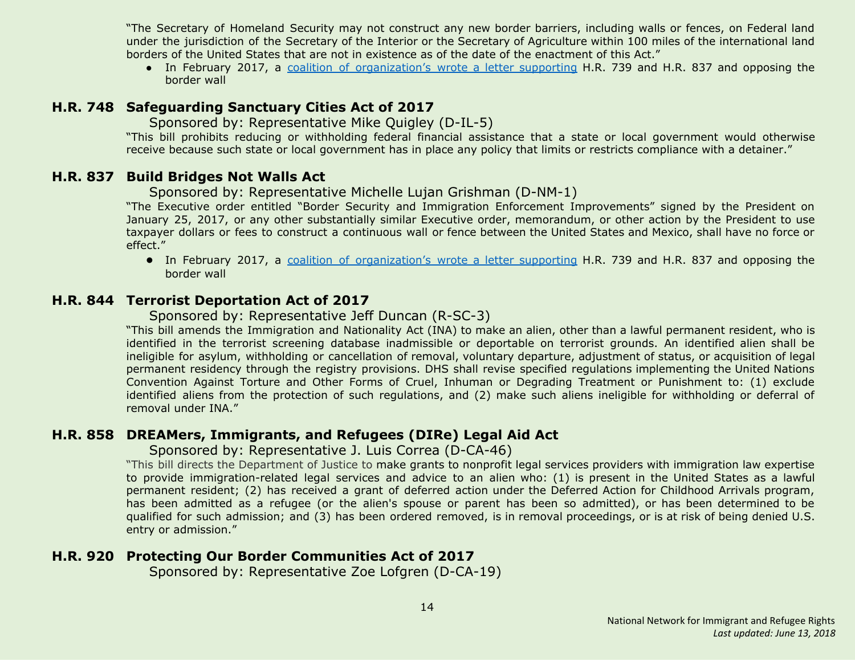"The Secretary of Homeland Security may not construct any new border barriers, including walls or fences, on Federal land under the jurisdiction of the Secretary of the Interior or the Secretary of Agriculture within 100 miles of the international land borders of the United States that are not in existence as of the date of the enactment of this Act."

• In February 2017, a coalition of [organization's](https://www.aclu.org/sites/default/files/field_document/2017-02-27_coalition_letter_border_wall_hr_837_hr_739.pdf) wrote a letter supporting H.R. 739 and H.R. 837 and opposing the border wall

#### <span id="page-13-1"></span>**H.R. 748 Safeguarding Sanctuary Cities Act of 2017**

Sponsored by: Representative Mike Quigley (D-IL-5)

"This bill prohibits reducing or withholding federal financial assistance that a state or local government would otherwise receive because such state or local government has in place any policy that limits or restricts compliance with a detainer."

## <span id="page-13-2"></span>**H.R. 837 Build Bridges Not Walls Act**

Sponsored by: Representative Michelle Lujan Grishman (D-NM-1)

"The Executive order entitled "Border Security and Immigration Enforcement Improvements" signed by the President on January 25, 2017, or any other substantially similar Executive order, memorandum, or other action by the President to use taxpayer dollars or fees to construct a continuous wall or fence between the United States and Mexico, shall have no force or effect."

**●** In February 2017, a coalition of [organization's](https://www.aclu.org/sites/default/files/field_document/2017-02-27_coalition_letter_border_wall_hr_837_hr_739.pdf) wrote a letter supporting H.R. 739 and H.R. 837 and opposing the border wall

## <span id="page-13-0"></span>**H.R. 844 Terrorist Deportation Act of 2017**

Sponsored by: Representative Jeff Duncan (R-SC-3)

"This bill amends the Immigration and Nationality Act (INA) to make an alien, other than a lawful permanent resident, who is identified in the terrorist screening database inadmissible or deportable on terrorist grounds. An identified alien shall be ineligible for asylum, withholding or cancellation of removal, voluntary departure, adjustment of status, or acquisition of legal permanent residency through the registry provisions. DHS shall revise specified regulations implementing the United Nations Convention Against Torture and Other Forms of Cruel, Inhuman or Degrading Treatment or Punishment to: (1) exclude identified aliens from the protection of such regulations, and (2) make such aliens ineligible for withholding or deferral of removal under INA."

## <span id="page-13-3"></span>**H.R. 858 DREAMers, Immigrants, and Refugees (DIRe) Legal Aid Act**

Sponsored by: Representative J. Luis Correa (D-CA-46)

"This bill directs the Department of Justice to make grants to nonprofit legal services providers with immigration law expertise to provide immigration-related legal services and advice to an alien who: (1) is present in the United States as a lawful permanent resident; (2) has received a grant of deferred action under the Deferred Action for Childhood Arrivals program, has been admitted as a refugee (or the alien's spouse or parent has been so admitted), or has been determined to be qualified for such admission; and (3) has been ordered removed, is in removal proceedings, or is at risk of being denied U.S. entry or admission."

## <span id="page-13-4"></span>**H.R. 920 Protecting Our Border Communities Act of 2017**

Sponsored by: Representative Zoe Lofgren (D-CA-19)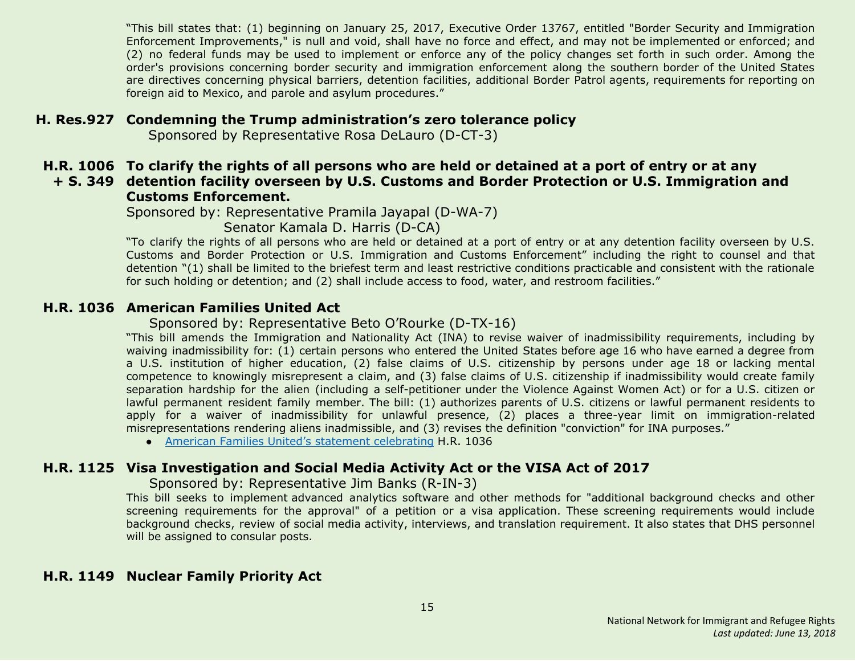"This bill states that: (1) beginning on January 25, 2017, Executive Order 13767, entitled "Border Security and Immigration Enforcement Improvements," is null and void, shall have no force and effect, and may not be implemented or enforced; and (2) no federal funds may be used to implement or enforce any of the policy changes set forth in such order. Among the order's provisions concerning border security and immigration enforcement along the southern border of the United States are directives concerning physical barriers, detention facilities, additional Border Patrol agents, requirements for reporting on foreign aid to Mexico, and parole and asylum procedures."

#### <span id="page-14-2"></span>**H. Res.927 Condemning the Trump administration's zero tolerance policy**

Sponsored by Representative Rosa DeLauro (D-CT-3)

#### <span id="page-14-3"></span>**H.R. 1006 To clarify the rights of all persons who are held or detained at a port of entry or at any + S. 349 detention facility overseen by U.S. Customs and Border Protection or U.S. Immigration and**

# **Customs Enforcement.**

Sponsored by: Representative Pramila Jayapal (D-WA-7)

Senator Kamala D. Harris (D-CA)

"To clarify the rights of all persons who are held or detained at a port of entry or at any detention facility overseen by U.S. Customs and Border Protection or U.S. Immigration and Customs Enforcement" including the right to counsel and that detention "(1) shall be limited to the briefest term and least restrictive conditions practicable and consistent with the rationale for such holding or detention; and (2) shall include access to food, water, and restroom facilities."

#### <span id="page-14-4"></span>**H.R. 1036 American Families United Act**

#### Sponsored by: Representative Beto O'Rourke (D-TX-16)

"This bill amends the Immigration and Nationality Act (INA) to revise waiver of inadmissibility requirements, including by waiving inadmissibility for: (1) certain persons who entered the United States before age 16 who have earned a degree from a U.S. institution of higher education, (2) false claims of U.S. citizenship by persons under age 18 or lacking mental competence to knowingly misrepresent a claim, and (3) false claims of U.S. citizenship if inadmissibility would create family separation hardship for the alien (including a self-petitioner under the Violence Against Women Act) or for a U.S. citizen or lawful permanent resident family member. The bill: (1) authorizes parents of U.S. citizens or lawful permanent residents to apply for a waiver of inadmissibility for unlawful presence, (2) places a three-year limit on immigration-related misrepresentations rendering aliens inadmissible, and (3) revises the definition "conviction" for INA purposes."

● American Families United's statement [celebrating](http://www.americanfamiliesunited.org/i601) H.R. 1036

## <span id="page-14-0"></span>**H.R. 1125 Visa Investigation and Social Media Activity Act or the VISA Act of 2017**

Sponsored by: Representative Jim Banks (R-IN-3)

This bill seeks to implement advanced analytics software and other methods for "additional background checks and other screening requirements for the approval" of a petition or a visa application. These screening requirements would include background checks, review of social media activity, interviews, and translation requirement. It also states that DHS personnel will be assigned to consular posts.

## <span id="page-14-1"></span>**H.R. 1149 Nuclear Family Priority Act**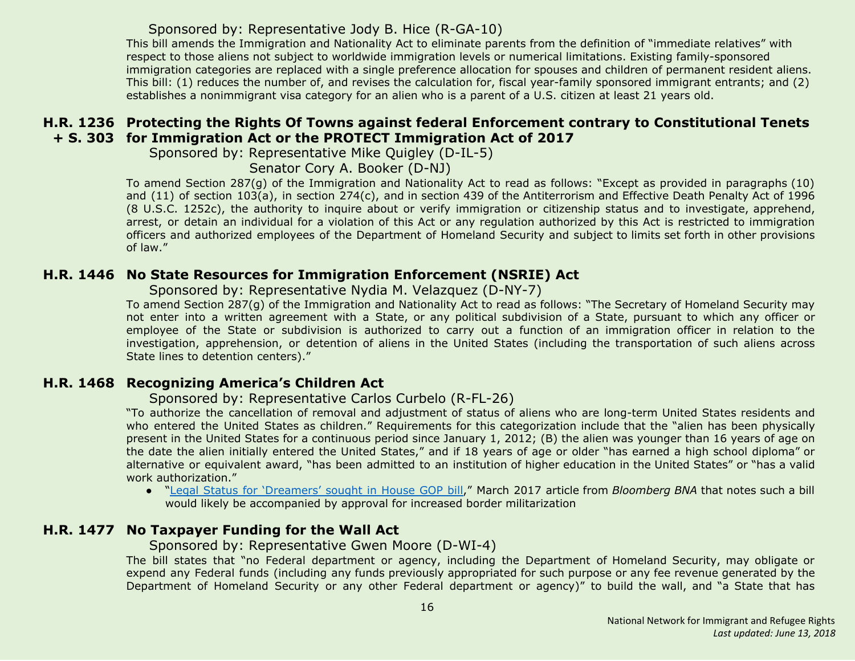#### Sponsored by: Representative Jody B. Hice (R-GA-10)

This bill amends the Immigration and Nationality Act to eliminate parents from the definition of "immediate relatives" with respect to those aliens not subject to worldwide immigration levels or numerical limitations. Existing family-sponsored immigration categories are replaced with a single preference allocation for spouses and children of permanent resident aliens. This bill: (1) reduces the number of, and revises the calculation for, fiscal year-family sponsored immigrant entrants; and (2) establishes a nonimmigrant visa category for an alien who is a parent of a U.S. citizen at least 21 years old.

#### <span id="page-15-1"></span>**H.R. 1236 Protecting the Rights Of Towns against federal Enforcement contrary to Constitutional Tenets + S. 303 for Immigration Act or the PROTECT Immigration Act of 2017**

Sponsored by: Representative Mike Quigley (D-IL-5)

Senator Cory A. Booker (D-NJ)

To amend Section 287(g) of the Immigration and Nationality Act to read as follows: "Except as provided in paragraphs (10) and (11) of section 103(a), in section 274(c), and in section 439 of the Antiterrorism and Effective Death Penalty Act of 1996 (8 U.S.C. 1252c), the authority to inquire about or verify immigration or citizenship status and to investigate, apprehend, arrest, or detain an individual for a violation of this Act or any regulation authorized by this Act is restricted to immigration officers and authorized employees of the Department of Homeland Security and subject to limits set forth in other provisions of law."

#### <span id="page-15-2"></span>**H.R. 1446 No State Resources for Immigration Enforcement (NSRIE) Act**

Sponsored by: Representative Nydia M. Velazquez (D-NY-7)

To amend Section 287(g) of the Immigration and Nationality Act to read as follows: "The Secretary of Homeland Security may not enter into a written agreement with a State, or any political subdivision of a State, pursuant to which any officer or employee of the State or subdivision is authorized to carry out a function of an immigration officer in relation to the investigation, apprehension, or detention of aliens in the United States (including the transportation of such aliens across State lines to detention centers)."

## <span id="page-15-0"></span>**H.R. 1468 Recognizing America's Children Act**

Sponsored by: Representative Carlos Curbelo (R-FL-26)

"To authorize the cancellation of removal and adjustment of status of aliens who are long-term United States residents and who entered the United States as children." Requirements for this categorization include that the "alien has been physically present in the United States for a continuous period since January 1, 2012; (B) the alien was younger than 16 years of age on the date the alien initially entered the United States," and if 18 years of age or older "has earned a high school diploma" or alternative or equivalent award, "has been admitted to an institution of higher education in the United States" or "has a valid work authorization."

● "Legal Status for ['Dreamers'](https://www.bna.com/legal-status-dreamers-n57982085106) sought in House GOP bill," March 2017 article from *Bloomberg BNA* that notes such a bill would likely be accompanied by approval for increased border militarization

## <span id="page-15-3"></span>**H.R. 1477 No Taxpayer Funding for the Wall Act**

#### Sponsored by: Representative Gwen Moore (D-WI-4)

The bill states that "no Federal department or agency, including the Department of Homeland Security, may obligate or expend any Federal funds (including any funds previously appropriated for such purpose or any fee revenue generated by the Department of Homeland Security or any other Federal department or agency)" to build the wall, and "a State that has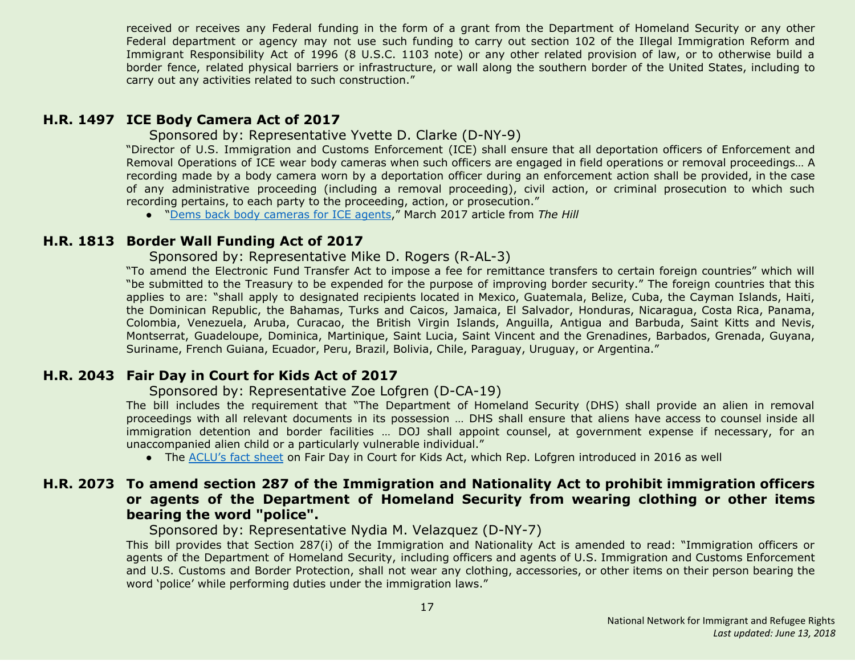received or receives any Federal funding in the form of a grant from the Department of Homeland Security or any other Federal department or agency may not use such funding to carry out section 102 of the Illegal Immigration Reform and Immigrant Responsibility Act of 1996 (8 U.S.C. 1103 note) or any other related provision of law, or to otherwise build a border fence, related physical barriers or infrastructure, or wall along the southern border of the United States, including to carry out any activities related to such construction."

#### <span id="page-16-3"></span>**H.R. 1497 ICE Body Camera Act of 2017**

Sponsored by: Representative Yvette D. Clarke (D-NY-9)

"Director of U.S. Immigration and Customs Enforcement (ICE) shall ensure that all deportation officers of Enforcement and Removal Operations of ICE wear body cameras when such officers are engaged in field operations or removal proceedings… A recording made by a body camera worn by a deportation officer during an enforcement action shall be provided, in the case of any administrative proceeding (including a removal proceeding), civil action, or criminal prosecution to which such recording pertains, to each party to the proceeding, action, or prosecution."

● "Dems back body [cameras](http://thehill.com/latino/323676-dems-back-body-cameras-for-ice-agents) for ICE agents," March 2017 article from *The Hill*

#### <span id="page-16-0"></span>**H.R. 1813 Border Wall Funding Act of 2017**

#### Sponsored by: Representative Mike D. Rogers (R-AL-3)

"To amend the Electronic Fund Transfer Act to impose a fee for remittance transfers to certain foreign countries" which will "be submitted to the Treasury to be expended for the purpose of improving border security." The foreign countries that this applies to are: "shall apply to designated recipients located in Mexico, Guatemala, Belize, Cuba, the Cayman Islands, Haiti, the Dominican Republic, the Bahamas, Turks and Caicos, Jamaica, El Salvador, Honduras, Nicaragua, Costa Rica, Panama, Colombia, Venezuela, Aruba, Curacao, the British Virgin Islands, Anguilla, Antigua and Barbuda, Saint Kitts and Nevis, Montserrat, Guadeloupe, Dominica, Martinique, Saint Lucia, Saint Vincent and the Grenadines, Barbados, Grenada, Guyana, Suriname, French Guiana, Ecuador, Peru, Brazil, Bolivia, Chile, Paraguay, Uruguay, or Argentina."

#### <span id="page-16-1"></span>**H.R. 2043 Fair Day in Court for Kids Act of 2017**

#### Sponsored by: Representative Zoe Lofgren (D-CA-19)

The bill includes the requirement that "The Department of Homeland Security (DHS) shall provide an alien in removal proceedings with all relevant documents in its possession … DHS shall ensure that aliens have access to counsel inside all immigration detention and border facilities … DOJ shall appoint counsel, at government expense if necessary, for an unaccompanied alien child or a particularly vulnerable individual."

● The [ACLU's](https://www.aclu.org/fact-sheet/fair-day-court-kids-act-factsheet) fact sheet on Fair Day in Court for Kids Act, which Rep. Lofgren introduced in 2016 as well

#### <span id="page-16-2"></span>**H.R. 2073 To amend section 287 of the Immigration and Nationality Act to prohibit immigration officers or agents of the Department of Homeland Security from wearing clothing or other items bearing the word "police".**

Sponsored by: Representative Nydia M. Velazquez (D-NY-7)

This bill provides that Section 287(i) of the Immigration and Nationality Act is amended to read: "Immigration officers or agents of the Department of Homeland Security, including officers and agents of U.S. Immigration and Customs Enforcement and U.S. Customs and Border Protection, shall not wear any clothing, accessories, or other items on their person bearing the word 'police' while performing duties under the immigration laws."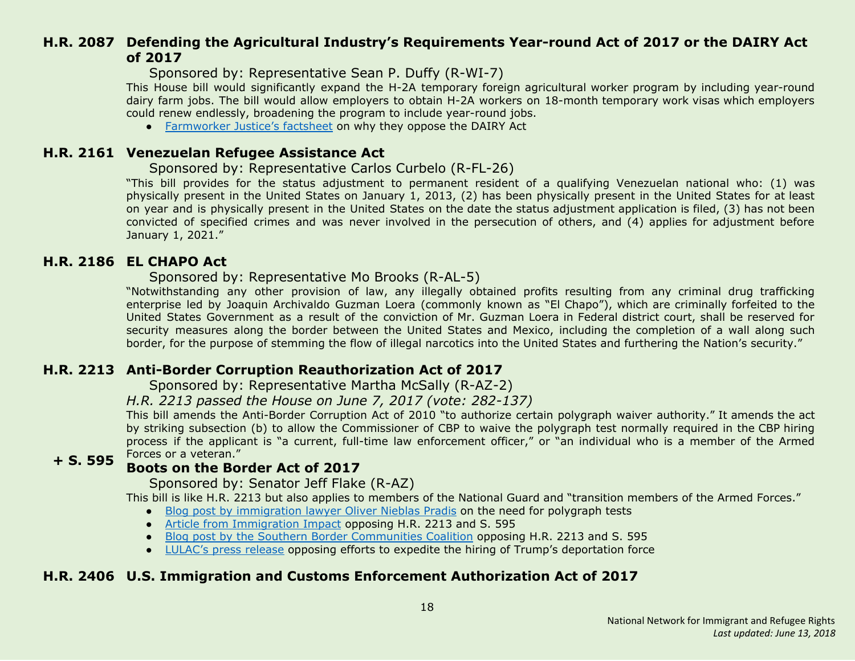## <span id="page-17-0"></span>**H.R. 2087 Defending the Agricultural Industry's Requirements Year-round Act of 2017 or the DAIRY Act of 2017**

Sponsored by: Representative Sean P. Duffy (R-WI-7)

This House bill would significantly expand the H-2A temporary foreign agricultural worker program by including year-round dairy farm jobs. The bill would allow employers to obtain H-2A workers on 18-month temporary work visas which employers could renew endlessly, broadening the program to include year-round jobs.

● [Farmworker](https://www.farmworkerjustice.org/sites/default/files/Dairy%20Act.pdf) Justice's factsheet on why they oppose the DAIRY Act

#### <span id="page-17-1"></span>**H.R. 2161 Venezuelan Refugee Assistance Act**

#### Sponsored by: Representative Carlos Curbelo (R-FL-26)

"This bill provides for the status adjustment to permanent resident of a qualifying Venezuelan national who: (1) was physically present in the United States on January 1, 2013, (2) has been physically present in the United States for at least on year and is physically present in the United States on the date the status adjustment application is filed, (3) has not been convicted of specified crimes and was never involved in the persecution of others, and (4) applies for adjustment before January 1, 2021."

#### <span id="page-17-2"></span>**H.R. 2186 EL CHAPO Act**

#### Sponsored by: Representative Mo Brooks (R-AL-5)

"Notwithstanding any other provision of law, any illegally obtained profits resulting from any criminal drug trafficking enterprise led by Joaquin Archivaldo Guzman Loera (commonly known as "El Chapo"), which are criminally forfeited to the United States Government as a result of the conviction of Mr. Guzman Loera in Federal district court, shall be reserved for security measures along the border between the United States and Mexico, including the completion of a wall along such border, for the purpose of stemming the flow of illegal narcotics into the United States and furthering the Nation's security."

#### <span id="page-17-3"></span>**H.R. 2213 Anti-Border Corruption Reauthorization Act of 2017**

Sponsored by: Representative Martha McSally (R-AZ-2)

#### *H.R. 2213 passed the House on June 7, 2017 (vote: 282-137)*

This bill amends the Anti-Border Corruption Act of 2010 "to authorize certain polygraph waiver authority." It amends the act by striking subsection (b) to allow the Commissioner of CBP to waive the polygraph test normally required in the CBP hiring process if the applicant is "a current, full-time law enforcement officer," or "an individual who is a member of the Armed Forces or a veteran."

#### **+ S. 595 Boots on the Border Act of 2017**

#### Sponsored by: Senator Jeff Flake (R-AZ)

This bill is like H.R. 2213 but also applies to members of the National Guard and "transition members of the Armed Forces."

- Blog post by [immigration](http://www.thinkimmigration.org/2017/06/01/dangerous-exceptions/) lawyer Oliver Nieblas Pradis on the need for polygraph tests
- Article from [Immigration](http://immigrationimpact.com/2017/05/17/eliminating-polygraph-test-corruption-border-agencies/) Impact opposing H.R. 2213 and S. 595
- Blog post by the Southern Border [Communities](http://www.southernborder.org/stop_congress_from_watering_down_cbp_hiring_requirements) Coalition opposing H.R. 2213 and S. 595
- [LULAC's](http://lulac.org/news/pr/Opposition-Trump_attempts_deportation_force/) press release opposing efforts to expedite the hiring of Trump's deportation force

## <span id="page-17-4"></span>**H.R. 2406 U.S. Immigration and Customs Enforcement Authorization Act of 2017**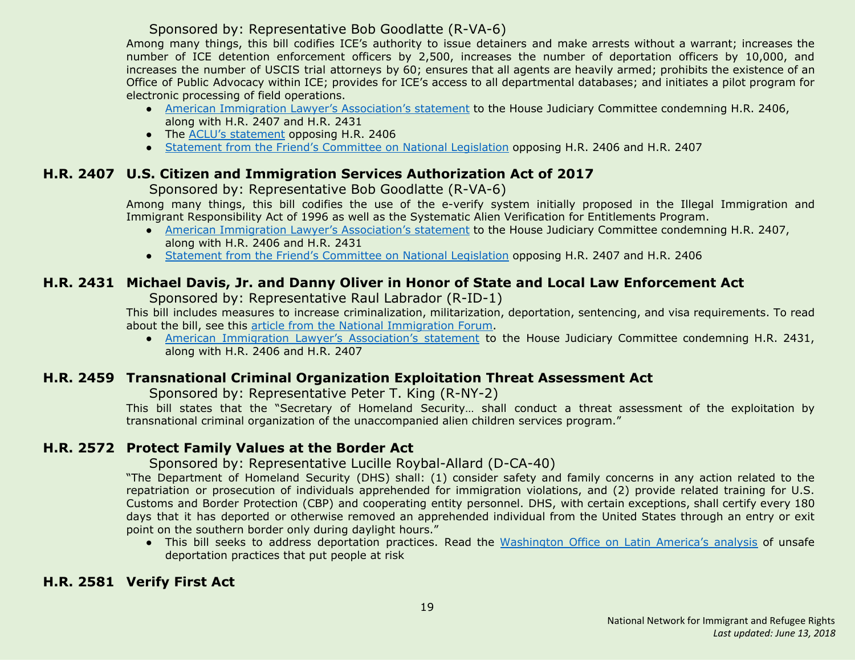## Sponsored by: Representative Bob Goodlatte (R-VA-6)

Among many things, this bill codifies ICE's authority to issue detainers and make arrests without a warrant; increases the number of ICE detention enforcement officers by 2,500, increases the number of deportation officers by 10,000, and increases the number of USCIS trial attorneys by 60; ensures that all agents are heavily armed; prohibits the existence of an Office of Public Advocacy within ICE; provides for ICE's access to all departmental databases; and initiates a pilot program for electronic processing of field operations.

- American Immigration Lawyer's [Association's](http://www.aila.org/advo-media/aila-correspondence/2017/aila-statement-to-house-judiciary-committee) statement to the House Judiciary Committee condemning H.R. 2406, along with H.R. 2407 and H.R. 2431
- The ACLU's [statement](https://www.aclu.org/letter/aclu-opposes-hr-2406-immigration-and-customs-enforcement-ice-authorization-act) opposing H.R. 2406
- Statement from the Friend's [Committee](https://www.fcnl.org/updates/fcnl-opposes-two-enforcement-only-immigration-bills-825) on National Legislation opposing H.R. 2406 and H.R. 2407

## <span id="page-18-0"></span>**H.R. 2407 U.S. Citizen and Immigration Services Authorization Act of 2017**

#### Sponsored by: Representative Bob Goodlatte (R-VA-6)

Among many things, this bill codifies the use of the e-verify system initially proposed in the Illegal Immigration and Immigrant Responsibility Act of 1996 as well as the Systematic Alien Verification for Entitlements Program.

- **●** American Immigration Lawyer's [Association's](http://www.aila.org/advo-media/aila-correspondence/2017/aila-statement-to-house-judiciary-committee) statement to the House Judiciary Committee condemning H.R. 2407, along with H.R. 2406 and H.R. 2431
- **●** Statement from the Friend's [Committee](https://www.fcnl.org/updates/fcnl-opposes-two-enforcement-only-immigration-bills-825) on National Legislation opposing H.R. 2407 and H.R. 2406

## <span id="page-18-1"></span>**H.R. 2431 Michael Davis, Jr. and Danny Oliver in Honor of State and Local Law Enforcement Act**

Sponsored by: Representative Raul Labrador (R-ID-1)

This bill includes measures to increase criminalization, militarization, deportation, sentencing, and visa requirements. To read about the bill, see this article from the National [Immigration](http://immigrationforum.org/blog/house-considering-bill-increasing-immigration-enforcement-h-r-2431/) Forum.

● American Immigration Lawyer's [Association's](http://www.aila.org/advo-media/aila-correspondence/2017/aila-statement-to-house-judiciary-committee) statement to the House Judiciary Committee condemning H.R. 2431, along with H.R. 2406 and H.R. 2407

## <span id="page-18-2"></span>**H.R. 2459 Transnational Criminal Organization Exploitation Threat Assessment Act**

Sponsored by: Representative Peter T. King (R-NY-2)

This bill states that the "Secretary of Homeland Security… shall conduct a threat assessment of the exploitation by transnational criminal organization of the unaccompanied alien children services program."

## <span id="page-18-4"></span>**H.R. 2572 Protect Family Values at the Border Act**

#### Sponsored by: Representative Lucille Roybal-Allard (D-CA-40)

"The Department of Homeland Security (DHS) shall: (1) consider safety and family concerns in any action related to the repatriation or prosecution of individuals apprehended for immigration violations, and (2) provide related training for U.S. Customs and Border Protection (CBP) and cooperating entity personnel. DHS, with certain exceptions, shall certify every 180 days that it has deported or otherwise removed an apprehended individual from the United States through an entry or exit point on the southern border only during daylight hours."

● This bill seeks to address deportation practices. Read the [Washington](https://www.wola.org/analysis/unsafe-deportation-practices-that-put-migrants-at-risk/) Office on Latin America's analysis of unsafe deportation practices that put people at risk

## <span id="page-18-3"></span>**H.R. 2581 Verify First Act**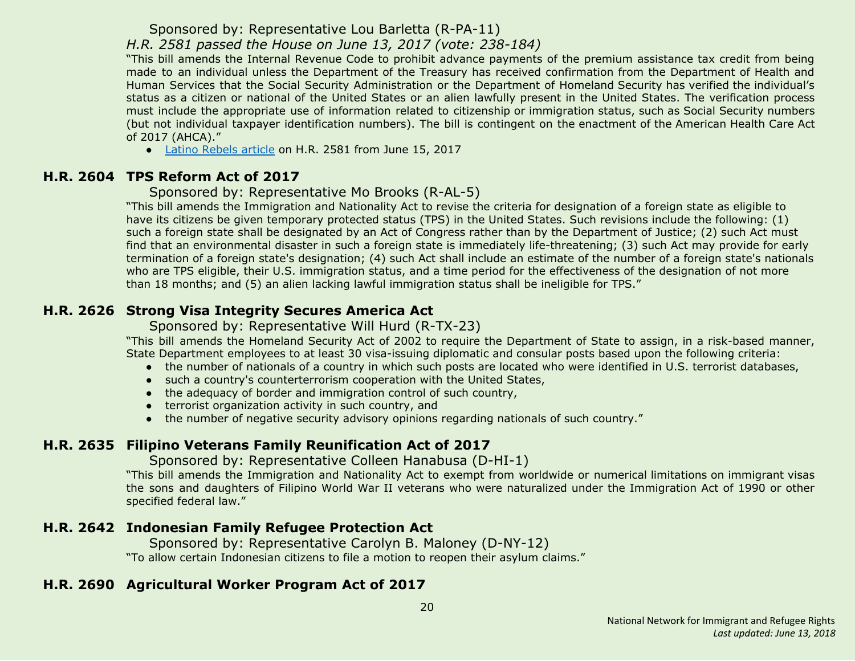Sponsored by: Representative Lou Barletta (R-PA-11)

*H.R. 2581 passed the House on June 13, 2017 (vote: 238-184)*

"This bill amends the Internal Revenue Code to prohibit advance payments of the premium assistance tax credit from being made to an individual unless the Department of the Treasury has received confirmation from the Department of Health and Human Services that the Social Security Administration or the Department of Homeland Security has verified the individual's status as a citizen or national of the United States or an alien lawfully present in the United States. The verification process must include the appropriate use of information related to citizenship or immigration status, such as Social Security numbers (but not individual taxpayer identification numbers). The bill is contingent on the enactment of the American Health Care Act of 2017 (AHCA)."

● Latino [Rebels](http://www.latinorebels.com/2017/06/15/verify-first-act-would-require-u-s-citizenship-or-legal-status-proof-to-access-health-care-subsidies/) article on H.R. 2581 from June 15, 2017

## <span id="page-19-0"></span>**H.R. 2604 TPS Reform Act of 2017**

Sponsored by: Representative Mo Brooks (R-AL-5)

"This bill amends the Immigration and Nationality Act to revise the criteria for designation of a foreign state as eligible to have its citizens be given temporary protected status (TPS) in the United States. Such revisions include the following: (1) such a foreign state shall be designated by an Act of Congress rather than by the Department of Justice; (2) such Act must find that an environmental disaster in such a foreign state is immediately life-threatening; (3) such Act may provide for early termination of a foreign state's designation; (4) such Act shall include an estimate of the number of a foreign state's nationals who are TPS eligible, their U.S. immigration status, and a time period for the effectiveness of the designation of not more than 18 months; and (5) an alien lacking lawful immigration status shall be ineligible for TPS."

## <span id="page-19-1"></span>**H.R. 2626 Strong Visa Integrity Secures America Act**

Sponsored by: Representative Will Hurd (R-TX-23)

"This bill amends the Homeland Security Act of 2002 to require the Department of State to assign, in a risk-based manner, State Department employees to at least 30 visa-issuing diplomatic and consular posts based upon the following criteria:

- the number of nationals of a country in which such posts are located who were identified in U.S. terrorist databases,
- such a country's counterterrorism cooperation with the United States,
- the adequacy of border and immigration control of such country,
- terrorist organization activity in such country, and
- the number of negative security advisory opinions regarding nationals of such country."

## <span id="page-19-2"></span>**H.R. 2635 Filipino Veterans Family Reunification Act of 2017**

Sponsored by: Representative Colleen Hanabusa (D-HI-1)

"This bill amends the Immigration and Nationality Act to exempt from worldwide or numerical limitations on immigrant visas the sons and daughters of Filipino World War II veterans who were naturalized under the Immigration Act of 1990 or other specified federal law."

## <span id="page-19-3"></span>**H.R. 2642 Indonesian Family Refugee Protection Act**

 Sponsored by: Representative Carolyn B. Maloney (D-NY-12) "To allow certain Indonesian citizens to file a motion to reopen their asylum claims."

## <span id="page-19-4"></span>**H.R. 2690 Agricultural Worker Program Act of 2017**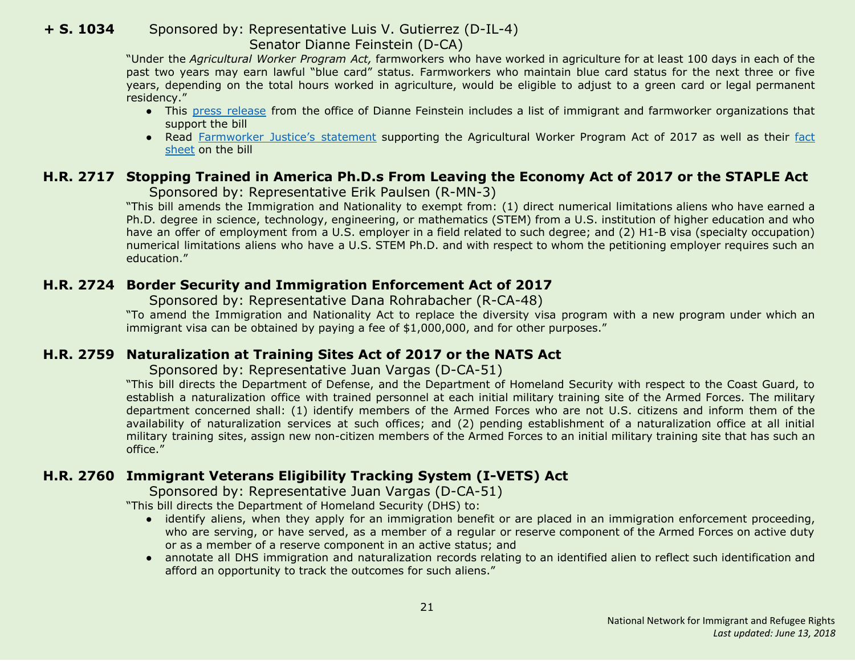#### **+ S. 1034** Sponsored by: Representative Luis V. Gutierrez (D-IL-4) Senator Dianne Feinstein (D-CA)

"Under the *Agricultural Worker Program Act,* farmworkers who have worked in agriculture for at least 100 days in each of the past two years may earn lawful "blue card" status. Farmworkers who maintain blue card status for the next three or five years, depending on the total hours worked in agriculture, would be eligible to adjust to a green card or legal permanent residency."

- **●** This press [release](https://www.feinstein.senate.gov/public/index.cfm/press-releases?id=A7920354-F4C1-48CB-95CF-9F25298EEDFB) from the office of Dianne Feinstein includes a list of immigrant and farmworker organizations that support the bill
- **●** Read [Farmworker](https://www.farmworkerjustice.org/sites/default/files/press_downloads/FJStatementAgWorkerFeinstein-5-3-17_final.pdf) Justice's statement supporting the Agricultural Worker Program Act of 2017 as well as their [fact](https://www.farmworkerjustice.org/sites/default/files/Feinstein%20Ag%20Worker%20Bill%20Fact%20Sheet%20-5-3-17.pdf) [sheet](https://www.farmworkerjustice.org/sites/default/files/Feinstein%20Ag%20Worker%20Bill%20Fact%20Sheet%20-5-3-17.pdf) on the bill

## <span id="page-20-0"></span>**H.R. 2717 Stopping Trained in America Ph.D.s From Leaving the Economy Act of 2017 or the STAPLE Act**

Sponsored by: Representative Erik Paulsen (R-MN-3)

"This bill amends the Immigration and Nationality to exempt from: (1) direct numerical limitations aliens who have earned a Ph.D. degree in science, technology, engineering, or mathematics (STEM) from a U.S. institution of higher education and who have an offer of employment from a U.S. employer in a field related to such degree; and (2) H1-B visa (specialty occupation) numerical limitations aliens who have a U.S. STEM Ph.D. and with respect to whom the petitioning employer requires such an education."

## <span id="page-20-1"></span>**H.R. 2724 Border Security and Immigration Enforcement Act of 2017**

Sponsored by: Representative Dana Rohrabacher (R-CA-48)

"To amend the Immigration and Nationality Act to replace the diversity visa program with a new program under which an immigrant visa can be obtained by paying a fee of \$1,000,000, and for other purposes."

## <span id="page-20-2"></span>**H.R. 2759 Naturalization at Training Sites Act of 2017 or the NATS Act**

Sponsored by: Representative Juan Vargas (D-CA-51)

"This bill directs the Department of Defense, and the Department of Homeland Security with respect to the Coast Guard, to establish a naturalization office with trained personnel at each initial military training site of the Armed Forces. The military department concerned shall: (1) identify members of the Armed Forces who are not U.S. citizens and inform them of the availability of naturalization services at such offices; and (2) pending establishment of a naturalization office at all initial military training sites, assign new non-citizen members of the Armed Forces to an initial military training site that has such an office."

## <span id="page-20-3"></span>**H.R. 2760 Immigrant Veterans Eligibility Tracking System (I-VETS) Act**

Sponsored by: Representative Juan Vargas (D-CA-51)

"This bill directs the Department of Homeland Security (DHS) to:

- identify aliens, when they apply for an immigration benefit or are placed in an immigration enforcement proceeding, who are serving, or have served, as a member of a regular or reserve component of the Armed Forces on active duty or as a member of a reserve component in an active status; and
- annotate all DHS immigration and naturalization records relating to an identified alien to reflect such identification and afford an opportunity to track the outcomes for such aliens."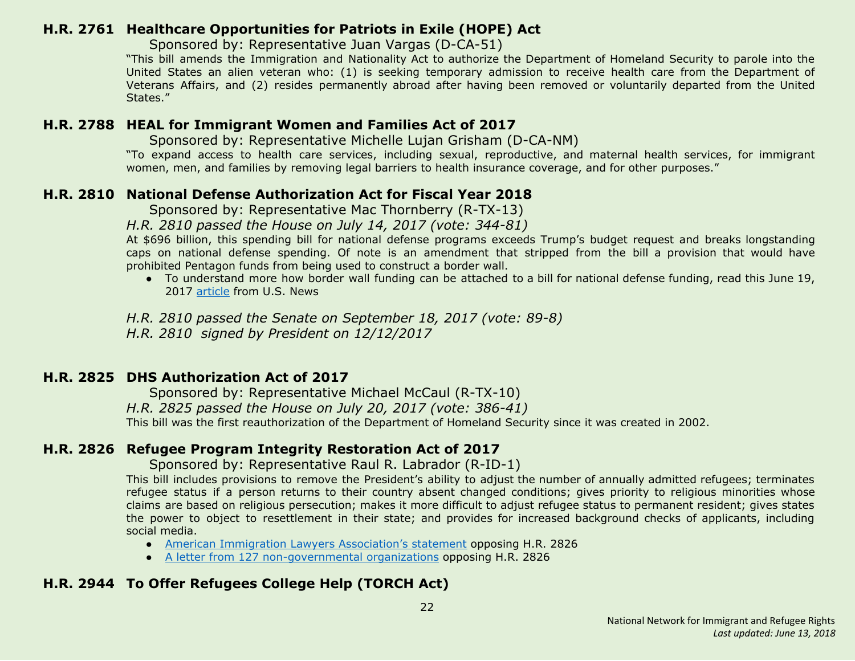## <span id="page-21-3"></span>**H.R. 2761 Healthcare Opportunities for Patriots in Exile (HOPE) Act**

Sponsored by: Representative Juan Vargas (D-CA-51)

"This bill amends the Immigration and Nationality Act to authorize the Department of Homeland Security to parole into the United States an alien veteran who: (1) is seeking temporary admission to receive health care from the Department of Veterans Affairs, and (2) resides permanently abroad after having been removed or voluntarily departed from the United States."

## <span id="page-21-4"></span>**H.R. 2788 HEAL for Immigrant Women and Families Act of 2017**

Sponsored by: Representative Michelle Lujan Grisham (D-CA-NM)

"To expand access to health care services, including sexual, reproductive, and maternal health services, for immigrant women, men, and families by removing legal barriers to health insurance coverage, and for other purposes."

## <span id="page-21-0"></span>**H.R. 2810 National Defense Authorization Act for Fiscal Year 2018**

Sponsored by: Representative Mac Thornberry (R-TX-13)

#### *H.R. 2810 passed the House on July 14, 2017 (vote: 344-81)*

At \$696 billion, this spending bill for national defense programs exceeds Trump's budget request and breaks longstanding caps on national defense spending. Of note is an amendment that stripped from the bill a provision that would have prohibited Pentagon funds from being used to construct a border wall.

● To understand more how border wall funding can be attached to a bill for national defense funding, read this June 19, 2017 [article](https://www.usnews.com/opinion/economic-intelligence/articles/2017-07-19/congress-slyly-diverts-pentagon-money-to-fund-donald-trumps-border-wall) from U.S. News

*H.R. 2810 passed the Senate on September 18, 2017 (vote: 89-8) H.R. 2810 signed by President on 12/12/2017*

#### <span id="page-21-1"></span>**H.R. 2825 DHS Authorization Act of 2017**

 Sponsored by: Representative Michael McCaul (R-TX-10) *H.R. 2825 passed the House on July 20, 2017 (vote: 386-41)* This bill was the first reauthorization of the Department of Homeland Security since it was created in 2002.

## <span id="page-21-2"></span>**H.R. 2826 Refugee Program Integrity Restoration Act of 2017**

Sponsored by: Representative Raul R. Labrador (R-ID-1)

This bill includes provisions to remove the President's ability to adjust the number of annually admitted refugees; terminates refugee status if a person returns to their country absent changed conditions; gives priority to religious minorities whose claims are based on religious persecution; makes it more difficult to adjust refugee status to permanent resident; gives states the power to object to resettlement in their state; and provides for increased background checks of applicants, including social media.

- American Immigration Lawyers [Association's](http://www.aila.org/advo-media/aila-correspondence/2017/house-judiciary-committee-on-markup-of-hr-2826) statement opposing H.R. 2826
- A letter from 127 [non-governmental](https://www.hias.org/sites/default/files/2017.6.20_-_ngo_sign-on_letter_refugee_program_integrity_restoration_act.pdf) organizations opposing H.R. 2826

## <span id="page-21-5"></span>**H.R. 2944 To Offer Refugees College Help (TORCH Act)**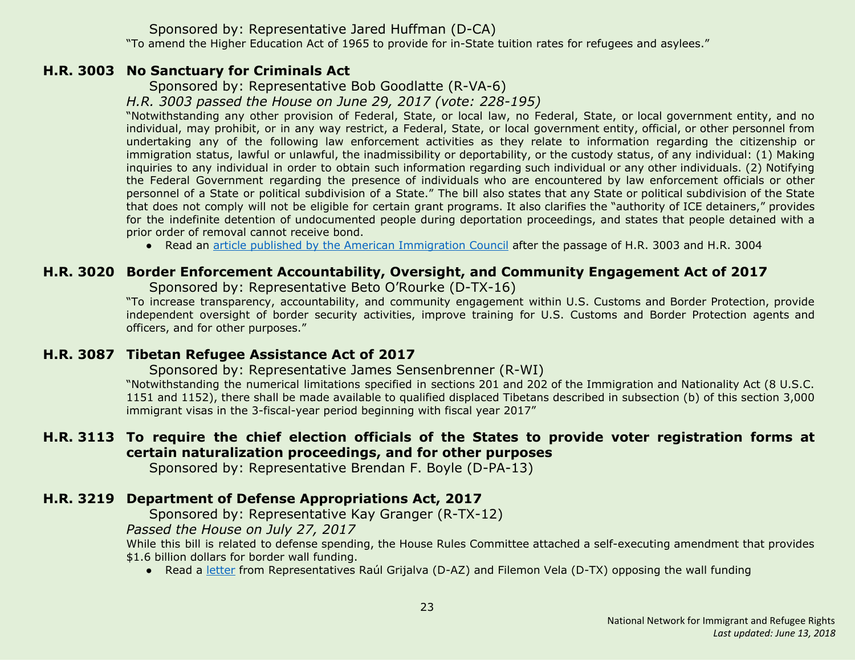#### Sponsored by: Representative Jared Huffman (D-CA)

"To amend the Higher Education Act of 1965 to provide for in-State tuition rates for refugees and asylees."

#### <span id="page-22-0"></span>**H.R. 3003 No Sanctuary for Criminals Act**

Sponsored by: Representative Bob Goodlatte (R-VA-6)

*H.R. 3003 passed the House on June 29, 2017 (vote: 228-195)*

"Notwithstanding any other provision of Federal, State, or local law, no Federal, State, or local government entity, and no individual, may prohibit, or in any way restrict, a Federal, State, or local government entity, official, or other personnel from undertaking any of the following law enforcement activities as they relate to information regarding the citizenship or immigration status, lawful or unlawful, the inadmissibility or deportability, or the custody status, of any individual: (1) Making inquiries to any individual in order to obtain such information regarding such individual or any other individuals. (2) Notifying the Federal Government regarding the presence of individuals who are encountered by law enforcement officials or other personnel of a State or political subdivision of a State." The bill also states that any State or political subdivision of the State that does not comply will not be eligible for certain grant programs. It also clarifies the "authority of ICE detainers," provides for the indefinite detention of undocumented people during deportation proceedings, and states that people detained with a prior order of removal cannot receive bond.

● Read an article published by the American [Immigration](http://immigrationimpact.com/2017/06/30/house-passes-anti-immigrant-bills/) Council after the passage of H.R. 3003 and H.R. 3004

## <span id="page-22-3"></span>**H.R. 3020 Border Enforcement Accountability, Oversight, and Community Engagement Act of 2017**

Sponsored by: Representative Beto O'Rourke (D-TX-16)

"To increase transparency, accountability, and community engagement within U.S. Customs and Border Protection, provide independent oversight of border security activities, improve training for U.S. Customs and Border Protection agents and officers, and for other purposes."

## <span id="page-22-1"></span>**H.R. 3087 Tibetan Refugee Assistance Act of 2017**

Sponsored by: Representative James Sensenbrenner (R-WI)

"Notwithstanding the numerical limitations specified in sections 201 and 202 of the Immigration and Nationality Act (8 U.S.C. 1151 and 1152), there shall be made available to qualified displaced Tibetans described in subsection (b) of this section 3,000 immigrant visas in the 3-fiscal-year period beginning with fiscal year 2017"

## <span id="page-22-4"></span>**H.R. 3113 To require the chief election officials of the States to provide voter registration forms at certain naturalization proceedings, and for other purposes**

Sponsored by: Representative Brendan F. Boyle (D-PA-13)

## <span id="page-22-2"></span>**H.R. 3219 Department of Defense Appropriations Act, 2017**

Sponsored by: Representative Kay Granger (R-TX-12)

*Passed the House on July 27, 2017*

While this bill is related to defense spending, the House Rules Committee attached a self-executing amendment that provides \$1.6 billion dollars for border wall funding.

● Read a [letter](https://grijalva.house.gov/news-and-press-releases/grijalva-and-vela-lead-letter-opposing-funding-and-construction-of-border-wall/) from Representatives Raúl Grijalva (D-AZ) and Filemon Vela (D-TX) opposing the wall funding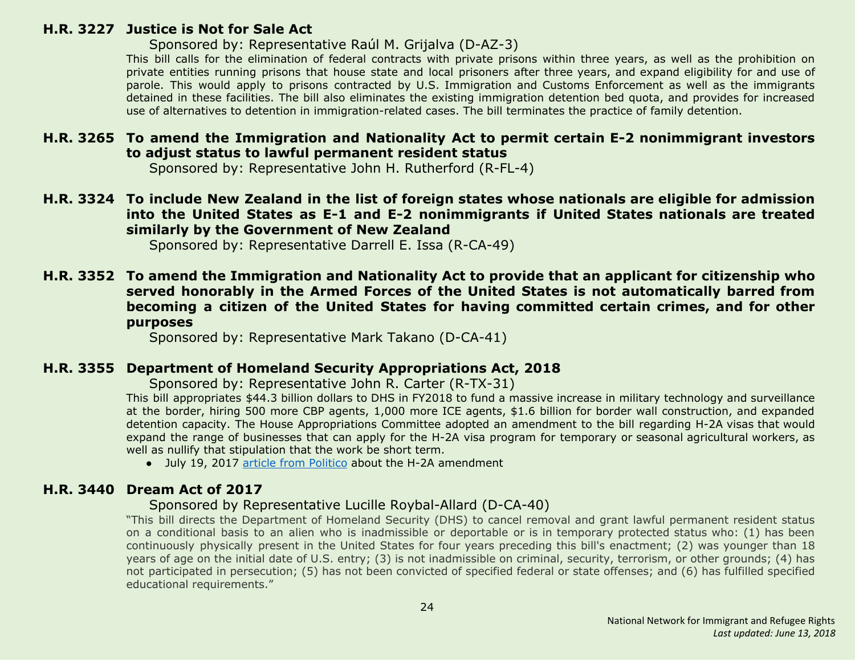#### <span id="page-23-3"></span>**H.R. 3227 Justice is Not for Sale Act**

#### Sponsored by: Representative Raúl M. Grijalva (D-AZ-3)

This bill calls for the elimination of federal contracts with private prisons within three years, as well as the prohibition on private entities running prisons that house state and local prisoners after three years, and expand eligibility for and use of parole. This would apply to prisons contracted by U.S. Immigration and Customs Enforcement as well as the immigrants detained in these facilities. The bill also eliminates the existing immigration detention bed quota, and provides for increased use of alternatives to detention in immigration-related cases. The bill terminates the practice of family detention.

#### <span id="page-23-0"></span>**H.R. 3265 To amend the Immigration and Nationality Act to permit certain E-2 nonimmigrant investors to adjust status to lawful permanent resident status**

Sponsored by: Representative John H. Rutherford (R-FL-4)

<span id="page-23-1"></span>**H.R. 3324 To include New Zealand in the list of foreign states whose nationals are eligible for admission into the United States as E-1 and E-2 nonimmigrants if United States nationals are treated similarly by the Government of New Zealand**

Sponsored by: Representative Darrell E. Issa (R-CA-49)

<span id="page-23-4"></span>**H.R. 3352 To amend the Immigration and Nationality Act to provide that an applicant for citizenship who served honorably in the Armed Forces of the United States is not automatically barred from becoming a citizen of the United States for having committed certain crimes, and for other purposes**

Sponsored by: Representative Mark Takano (D-CA-41)

#### <span id="page-23-2"></span>**H.R. 3355 Department of Homeland Security Appropriations Act, 2018**

Sponsored by: Representative John R. Carter (R-TX-31)

This bill appropriates \$44.3 billion dollars to DHS in FY2018 to fund a massive increase in military technology and surveillance at the border, hiring 500 more CBP agents, 1,000 more ICE agents, \$1.6 billion for border wall construction, and expanded detention capacity. The House Appropriations Committee adopted an amendment to the bill regarding H-2A visas that would expand the range of businesses that can apply for the H-2A visa program for temporary or seasonal agricultural workers, as well as nullify that stipulation that the work be short term.

● July 19, 2017 article from [Politico](http://www.politico.com/tipsheets/morning-agriculture/2017/07/19/dairy-happy-with-visa-proposal-221406) about the H-2A amendment

#### <span id="page-23-5"></span>**H.R. 3440 Dream Act of 2017**

#### Sponsored by Representative Lucille Roybal-Allard (D-CA-40)

"This bill directs the Department of Homeland Security (DHS) to cancel removal and grant lawful permanent resident status on a conditional basis to an alien who is inadmissible or deportable or is in temporary protected status who: (1) has been continuously physically present in the United States for four years preceding this bill's enactment; (2) was younger than 18 years of age on the initial date of U.S. entry; (3) is not inadmissible on criminal, security, terrorism, or other grounds; (4) has not participated in persecution; (5) has not been convicted of specified federal or state offenses; and (6) has fulfilled specified educational requirements."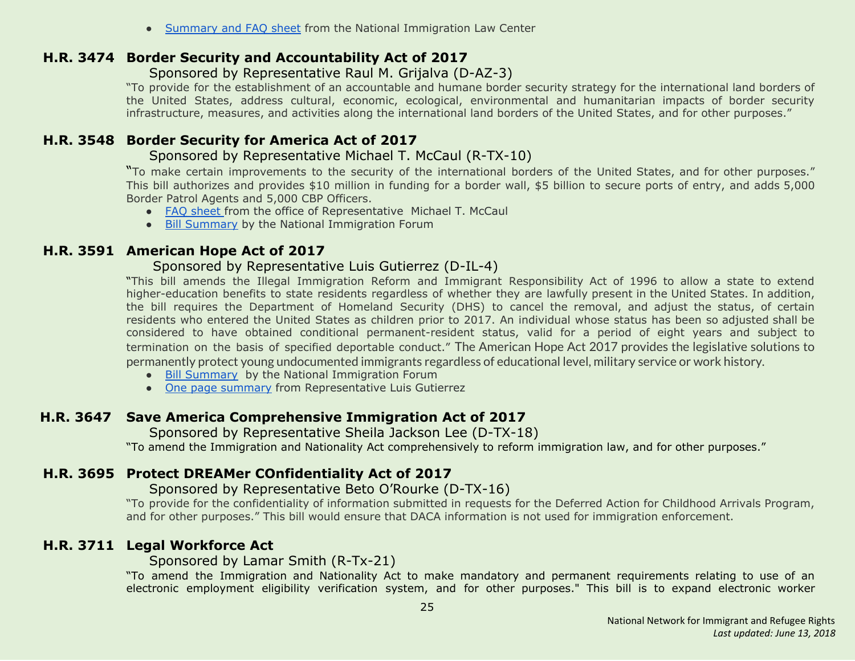• [Summary](https://www.nilc.org/wp-content/uploads/2017/07/DreamAct2017-summary-and-facts-2017-07-24.pdf) and FAQ sheet from the National Immigration Law Center

#### <span id="page-24-2"></span>**H.R. 3474 Border Security and Accountability Act of 2017**

#### Sponsored by Representative Raul M. Grijalva (D-AZ-3)

"To provide for the establishment of an accountable and humane border security strategy for the international land borders of the United States, address cultural, economic, ecological, environmental and humanitarian impacts of border security infrastructure, measures, and activities along the international land borders of the United States, and for other purposes."

## <span id="page-24-0"></span>**H.R. 3548 Border Security for America Act of 2017**

#### Sponsored by Representative Michael T. McCaul (R-TX-10)

"To make certain improvements to the security of the international borders of the United States, and for other purposes." This bill authorizes and provides \$10 million in funding for a border wall, \$5 billion to secure ports of entry, and adds 5,000 Border Patrol Agents and 5,000 CBP Officers.

- FAQ [sheet](https://homeland.house.gov/wp-content/uploads/2017/07/Border-Bill-One-Pager1.pdf) from the office of Representative Michael T. McCaul
- Bill [Summary](http://immigrationforum.org/blog/border-security-for-america-act-of-2017-bill-summary/) by the National Immigration Forum

#### <span id="page-24-3"></span>**H.R. 3591 American Hope Act of 2017**

#### Sponsored by Representative Luis Gutierrez (D-IL-4)

"This bill amends the Illegal Immigration Reform and Immigrant Responsibility Act of 1996 to allow a state to extend higher-education benefits to state residents regardless of whether they are lawfully present in the United States. In addition, the bill requires the Department of Homeland Security (DHS) to cancel the removal, and adjust the status, of certain residents who entered the United States as children prior to 2017. An individual whose status has been so adjusted shall be considered to have obtained conditional permanent-resident status, valid for a period of eight years and subject to termination on the basis of specified deportable conduct." The American Hope Act 2017 provides the legislative solutions to permanently protect young undocumented immigrants regardless of educational level, military service or work history.

- Bill [Summary](http://immigrationforum.org/blog/american-hope-act-of-2017-bill-summary/) by the National Immigration Forum
- One page [summary](https://gutierrez.house.gov/sites/gutierrez.house.gov/files/wysiwyg_uploaded/One%20Page%20Summary%20of%20American%20Hope%20Act%20of%202017.pdf) from Representative Luis Gutierrez

## <span id="page-24-4"></span> **H.R. 3647 Save America Comprehensive Immigration Act of 2017**

Sponsored by Representative Sheila Jackson Lee (D-TX-18)

"To amend the Immigration and Nationality Act comprehensively to reform immigration law, and for other purposes."

## <span id="page-24-5"></span>**H.R. 3695 Protect DREAMer COnfidentiality Act of 2017**

#### Sponsored by Representative Beto O'Rourke (D-TX-16)

"To provide for the confidentiality of information submitted in requests for the Deferred Action for Childhood Arrivals Program, and for other purposes." This bill would ensure that DACA information is not used for immigration enforcement.

## <span id="page-24-1"></span>**H.R. 3711 Legal Workforce Act**

#### Sponsored by Lamar Smith (R-Tx-21)

"To amend the Immigration and Nationality Act to make mandatory and permanent requirements relating to use of an electronic employment eligibility verification system, and for other purposes." This bill is to expand electronic worker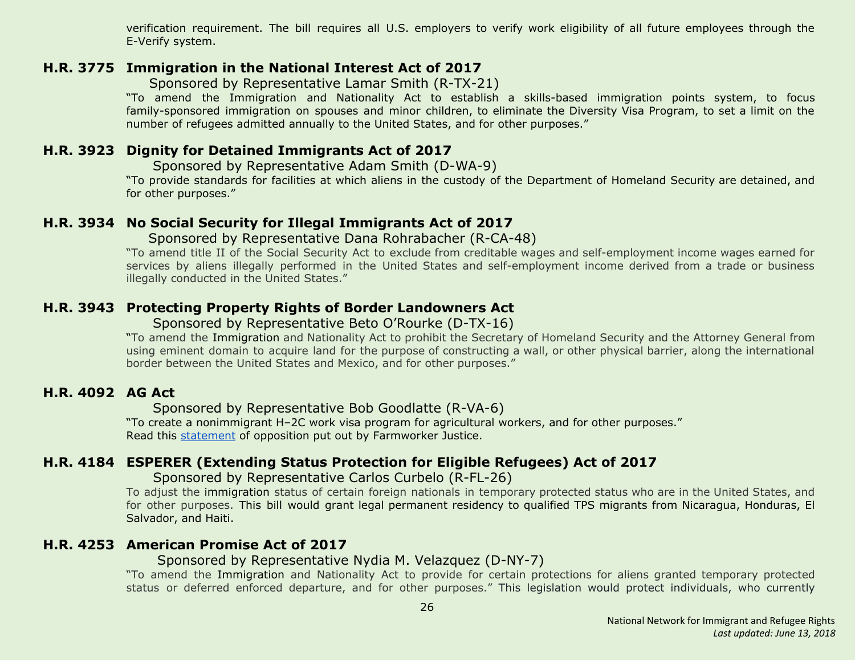verification requirement. The bill requires all U.S. employers to verify work eligibility of all future employees through the E-Verify system.

#### <span id="page-25-0"></span>**H.R. 3775 Immigration in the National Interest Act of 2017**

Sponsored by Representative Lamar Smith (R-TX-21)

"To amend the Immigration and Nationality Act to establish a skills-based immigration points system, to focus family-sponsored immigration on spouses and minor children, to eliminate the Diversity Visa Program, to set a limit on the number of refugees admitted annually to the United States, and for other purposes."

#### <span id="page-25-4"></span>**H.R. 3923 Dignity for Detained Immigrants Act of 2017**

Sponsored by Representative Adam Smith (D-WA-9)

"To provide standards for facilities at which aliens in the custody of the Department of Homeland Security are detained, and for other purposes."

#### <span id="page-25-1"></span>**H.R. 3934 No Social Security for Illegal Immigrants Act of 2017**

Sponsored by Representative Dana Rohrabacher (R-CA-48)

"To amend title II of the Social Security Act to exclude from creditable wages and self-employment income wages earned for services by aliens illegally performed in the United States and self-employment income derived from a trade or business illegally conducted in the United States."

#### <span id="page-25-5"></span>**H.R. 3943 Protecting Property Rights of Border Landowners Act**

Sponsored by Representative Beto O'Rourke (D-TX-16)

"To amend the Immigration and Nationality Act to prohibit the Secretary of Homeland Security and the Attorney General from using eminent domain to acquire land for the purpose of constructing a wall, or other physical barrier, along the international border between the United States and Mexico, and for other purposes."

#### <span id="page-25-2"></span>**H.R. 4092 AG Act**

Sponsored by Representative Bob Goodlatte (R-VA-6)

"To create a nonimmigrant H–2C work visa program for agricultural workers, and for other purposes." Read this [statement](http://www.nnirr.org/drupal/sites/default/files/goodlatte_fact_sheet_-_10.27postmarkupfinal_.pdf) of opposition put out by Farmworker Justice.

## <span id="page-25-3"></span>**H.R. 4184 ESPERER (Extending Status Protection for Eligible Refugees) Act of 2017**

 Sponsored by Representative Carlos Curbelo (R-FL-26)

To adjust the immigration status of certain foreign nationals in temporary protected status who are in the United States, and for other purposes. This bill would grant legal permanent residency to qualified TPS migrants from Nicaragua, Honduras, El Salvador, and Haiti.

#### <span id="page-25-6"></span>**H.R. 4253 American Promise Act of 2017**

#### Sponsored by Representative Nydia M. Velazquez (D-NY-7)

"To amend the Immigration and Nationality Act to provide for certain protections for aliens granted temporary protected status or deferred enforced departure, and for other purposes." This legislation would protect individuals, who currently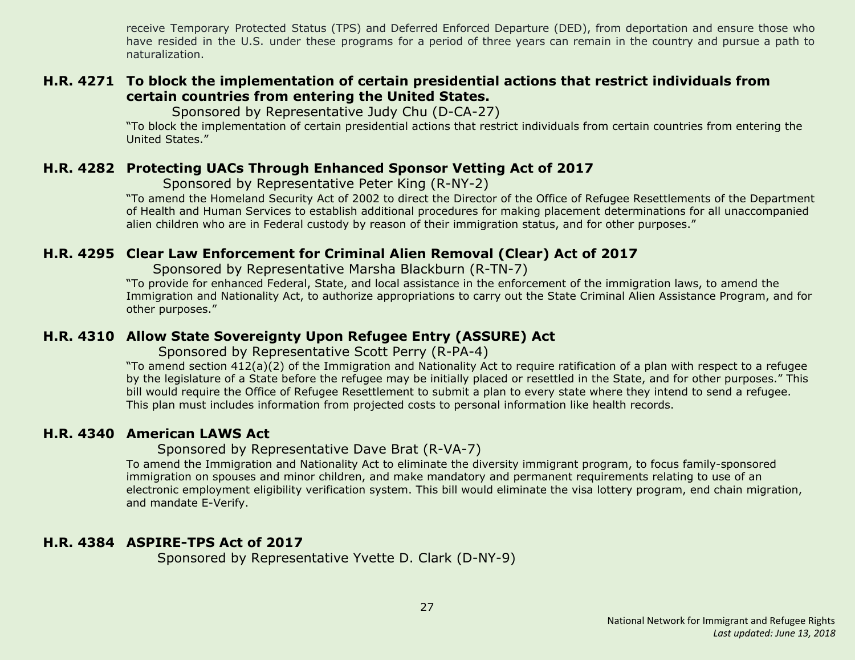receive Temporary Protected Status (TPS) and Deferred Enforced Departure (DED), from deportation and ensure those who have resided in the U.S. under these programs for a period of three years can remain in the country and pursue a path to naturalization.

#### <span id="page-26-4"></span>**H.R. 4271 To block the implementation of certain presidential actions that restrict individuals from certain countries from entering the United States.**

Sponsored by Representative Judy Chu (D-CA-27)

"To block the implementation of certain presidential actions that restrict individuals from certain countries from entering the United States."

#### <span id="page-26-0"></span>**H.R. 4282 Protecting UACs Through Enhanced Sponsor Vetting Act of 2017**

Sponsored by Representative Peter King (R-NY-2)

"To amend the Homeland Security Act of 2002 to direct the Director of the Office of Refugee Resettlements of the Department of Health and Human Services to establish additional procedures for making placement determinations for all unaccompanied alien children who are in Federal custody by reason of their immigration status, and for other purposes."

#### <span id="page-26-1"></span>**H.R. 4295 Clear Law Enforcement for Criminal Alien Removal (Clear) Act of 2017**

Sponsored by Representative Marsha Blackburn (R-TN-7)

"To provide for enhanced Federal, State, and local assistance in the enforcement of the immigration laws, to amend the Immigration and Nationality Act, to authorize appropriations to carry out the State Criminal Alien Assistance Program, and for other purposes."

#### <span id="page-26-2"></span>**H.R. 4310 Allow State Sovereignty Upon Refugee Entry (ASSURE) Act**

Sponsored by Representative Scott Perry (R-PA-4)

"To amend section 412(a)(2) of the Immigration and Nationality Act to require ratification of a plan with respect to a refugee by the legislature of a State before the refugee may be initially placed or resettled in the State, and for other purposes." This bill would require the Office of Refugee Resettlement to submit a plan to every state where they intend to send a refugee. This plan must includes information from projected costs to personal information like health records.

#### <span id="page-26-3"></span>**H.R. 4340 American LAWS Act**

Sponsored by Representative Dave Brat (R-VA-7)

To amend the Immigration and Nationality Act to eliminate the diversity immigrant program, to focus family-sponsored immigration on spouses and minor children, and make mandatory and permanent requirements relating to use of an electronic employment eligibility verification system. This bill would eliminate the visa lottery program, end chain migration, and mandate E-Verify.

#### <span id="page-26-5"></span>**H.R. 4384 ASPIRE-TPS Act of 2017**

Sponsored by Representative Yvette D. Clark (D-NY-9)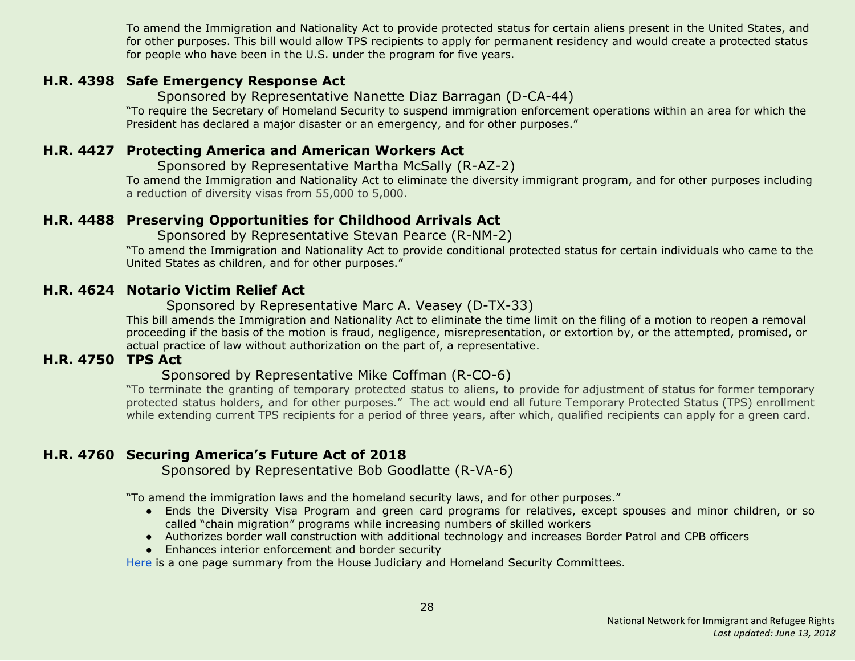To amend the Immigration and Nationality Act to provide protected status for certain aliens present in the United States, and for other purposes. This bill would allow TPS recipients to apply for permanent residency and would create a protected status for people who have been in the U.S. under the program for five years.

#### <span id="page-27-4"></span>**H.R. 4398 Safe Emergency Response Act**

Sponsored by Representative Nanette Diaz Barragan (D-CA-44)

"To require the Secretary of Homeland Security to suspend immigration enforcement operations within an area for which the President has declared a major disaster or an emergency, and for other purposes."

#### <span id="page-27-0"></span>**H.R. 4427 Protecting America and American Workers Act**

Sponsored by Representative Martha McSally (R-AZ-2)

To amend the Immigration and Nationality Act to eliminate the diversity immigrant program, and for other purposes including a reduction of diversity visas from 55,000 to 5,000.

#### <span id="page-27-1"></span>**H.R. 4488 Preserving Opportunities for Childhood Arrivals Act**

Sponsored by Representative Stevan Pearce (R-NM-2)

"To amend the Immigration and Nationality Act to provide conditional protected status for certain individuals who came to the United States as children, and for other purposes."

#### <span id="page-27-5"></span>**H.R. 4624 Notario Victim Relief Act**

Sponsored by Representative Marc A. Veasey (D-TX-33)

This bill amends the Immigration and Nationality Act to eliminate the time limit on the filing of a motion to reopen a removal proceeding if the basis of the motion is fraud, negligence, misrepresentation, or extortion by, or the attempted, promised, or actual practice of law without authorization on the part of, a representative.

## <span id="page-27-2"></span>**H.R. 4750 TPS Act**

#### Sponsored by Representative Mike Coffman (R-CO-6)

"To terminate the granting of temporary protected status to aliens, to provide for adjustment of status for former temporary protected status holders, and for other purposes." The act would end all future Temporary Protected Status (TPS) enrollment while extending current TPS recipients for a period of three years, after which, qualified recipients can apply for a green card.

## <span id="page-27-3"></span>**H.R. 4760 Securing America's Future Act of 2018**

Sponsored by Representative Bob Goodlatte (R-VA-6)

"To amend the immigration laws and the homeland security laws, and for other purposes."

- Ends the Diversity Visa Program and green card programs for relatives, except spouses and minor children, or so called "chain migration" programs while increasing numbers of skilled workers
- Authorizes border wall construction with additional technology and increases Border Patrol and CPB officers
- Enhances interior enforcement and border security

[Here](https://judiciary.house.gov/wp-content/uploads/2018/01/011018-Securing-Americas-Future-Act-Final.pdf) is a one page summary from the House Judiciary and Homeland Security Committees.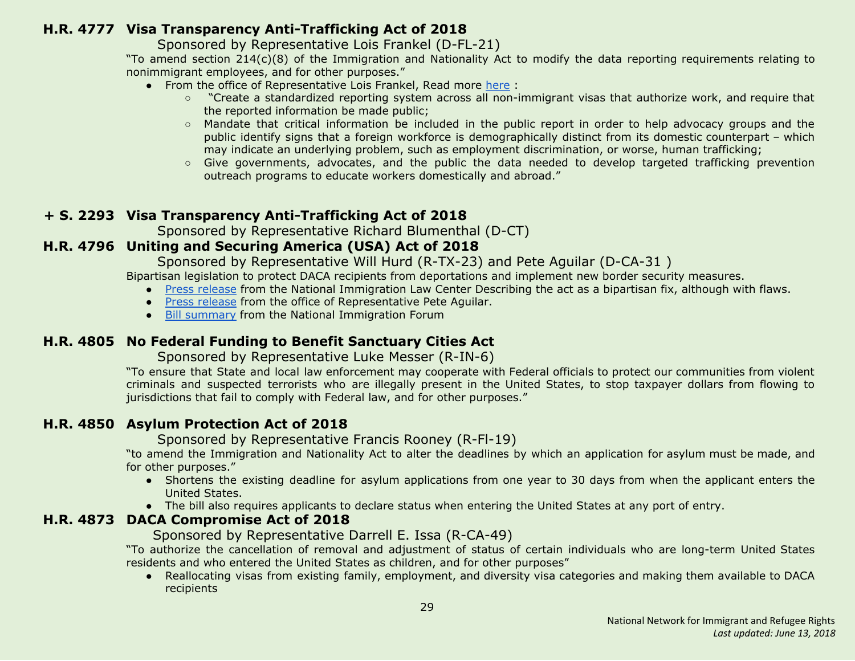## <span id="page-28-4"></span>**H.R. 4777 Visa Transparency Anti-Trafficking Act of 2018**

Sponsored by Representative Lois Frankel (D-FL-21)

"To amend section 214(c)(8) of the Immigration and Nationality Act to modify the data reporting requirements relating to nonimmigrant employees, and for other purposes."

- From the office of Representative Lois Frankel, Read more [here](https://frankel.house.gov/news/documentsingle.aspx?DocumentID=678) :
	- "Create a standardized reporting system across all non-immigrant visas that authorize work, and require that the reported information be made public;
	- Mandate that critical information be included in the public report in order to help advocacy groups and the public identify signs that a foreign workforce is demographically distinct from its domestic counterpart – which may indicate an underlying problem, such as employment discrimination, or worse, human trafficking;
	- Give governments, advocates, and the public the data needed to develop targeted trafficking prevention outreach programs to educate workers domestically and abroad."

## **+ S. 2293 Visa Transparency Anti-Trafficking Act of 2018**

Sponsored by Representative Richard Blumenthal (D-CT)

## <span id="page-28-0"></span>**H.R. 4796 Uniting and Securing America (USA) Act of 2018**

Sponsored by Representative Will Hurd (R-TX-23) and Pete Aguilar (D-CA-31 )

Bipartisan legislation to protect DACA recipients from deportations and implement new border security measures.

- Press [release](https://www.nilc.org/2018/01/16/response-to-introduction-of-usa-act/) from the National Immigration Law Center Describing the act as a bipartisan fix, although with flaws.
- Press [release](https://aguilar.house.gov/media-center/press-releases/reps-hurd-aguilar-denham-drive-bipartisan-daca-border-security-solution) from the office of Representative Pete Aguilar.
- Bill [summary](http://immigrationforum.org/wp-content/uploads/2018/01/Uniting-and-Securing-America-USA-Act-Bill-Summary-.pdf) from the National Immigration Forum

## <span id="page-28-1"></span>**H.R. 4805 No Federal Funding to Benefit Sanctuary Cities Act**

Sponsored by Representative Luke Messer (R-IN-6)

"To ensure that State and local law enforcement may cooperate with Federal officials to protect our communities from violent criminals and suspected terrorists who are illegally present in the United States, to stop taxpayer dollars from flowing to jurisdictions that fail to comply with Federal law, and for other purposes."

## <span id="page-28-2"></span>**H.R. 4850 Asylum Protection Act of 2018**

Sponsored by Representative Francis Rooney (R-Fl-19)

"to amend the Immigration and Nationality Act to alter the deadlines by which an application for asylum must be made, and for other purposes."

- Shortens the existing deadline for asylum applications from one year to 30 days from when the applicant enters the United States.
- The bill also requires applicants to declare status when entering the United States at any port of entry.

## <span id="page-28-3"></span>**H.R. 4873 DACA Compromise Act of 2018**

Sponsored by Representative Darrell E. Issa (R-CA-49)

"To authorize the cancellation of removal and adjustment of status of certain individuals who are long-term United States residents and who entered the United States as children, and for other purposes"

● Reallocating visas from existing family, employment, and diversity visa categories and making them available to DACA recipients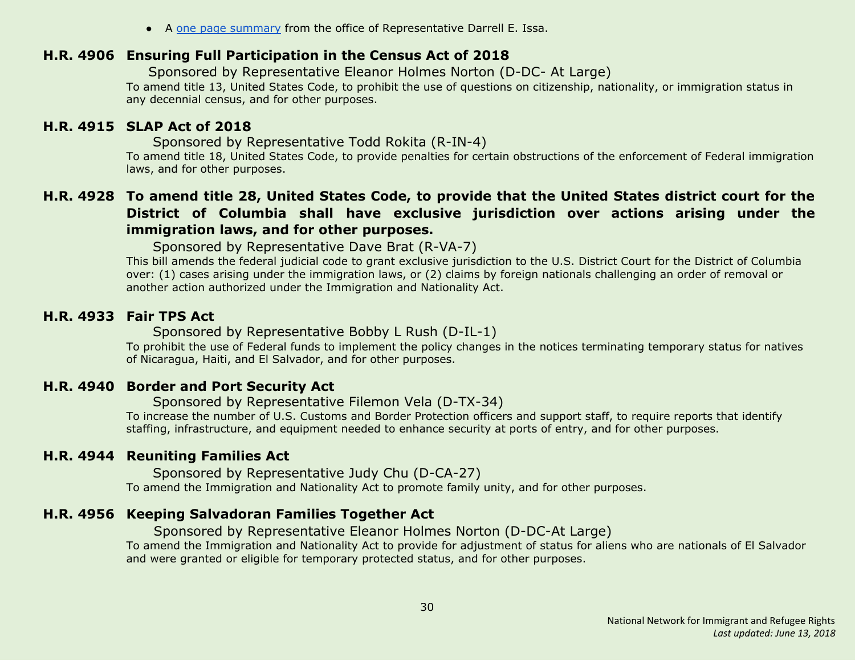● A one page [summary](https://issa.house.gov/sites/issa.house.gov/files/Summary%20of%20the%20DACA%20Compromise%20Act%20of%202018.pdf) from the office of Representative Darrell E. Issa.

#### <span id="page-29-2"></span>**H.R. 4906 Ensuring Full Participation in the Census Act of 2018**

Sponsored by Representative Eleanor Holmes Norton (D-DC- At Large) To amend title 13, United States Code, to prohibit the use of questions on citizenship, nationality, or immigration status in any decennial census, and for other purposes.

#### <span id="page-29-0"></span>**H.R. 4915 SLAP Act of 2018**

Sponsored by Representative Todd Rokita (R-IN-4)

To amend title 18, United States Code, to provide penalties for certain obstructions of the enforcement of Federal immigration laws, and for other purposes.

## <span id="page-29-1"></span>H.R. 4928 To amend title 28, United States Code, to provide that the United States district court for the **District of Columbia shall have exclusive jurisdiction over actions arising under the immigration laws, and for other purposes.**

Sponsored by Representative Dave Brat (R-VA-7)

This bill amends the federal judicial code to grant exclusive jurisdiction to the U.S. District Court for the District of Columbia over: (1) cases arising under the immigration laws, or (2) claims by foreign nationals challenging an order of removal or another action authorized under the Immigration and Nationality Act.

#### <span id="page-29-3"></span>**H.R. 4933 Fair TPS Act**

#### Sponsored by Representative Bobby L Rush (D-IL-1)

To prohibit the use of Federal funds to implement the policy changes in the notices terminating temporary status for natives of Nicaragua, Haiti, and El Salvador, and for other purposes.

## <span id="page-29-4"></span>**H.R. 4940 Border and Port Security Act**

Sponsored by Representative Filemon Vela (D-TX-34)

To increase the number of U.S. Customs and Border Protection officers and support staff, to require reports that identify staffing, infrastructure, and equipment needed to enhance security at ports of entry, and for other purposes.

## <span id="page-29-5"></span>**H.R. 4944 Reuniting Families Act**

Sponsored by Representative Judy Chu (D-CA-27)

To amend the Immigration and Nationality Act to promote family unity, and for other purposes.

## <span id="page-29-6"></span>**H.R. 4956 Keeping Salvadoran Families Together Act**

Sponsored by Representative Eleanor Holmes Norton (D-DC-At Large)

To amend the Immigration and Nationality Act to provide for adjustment of status for aliens who are nationals of El Salvador and were granted or eligible for temporary protected status, and for other purposes.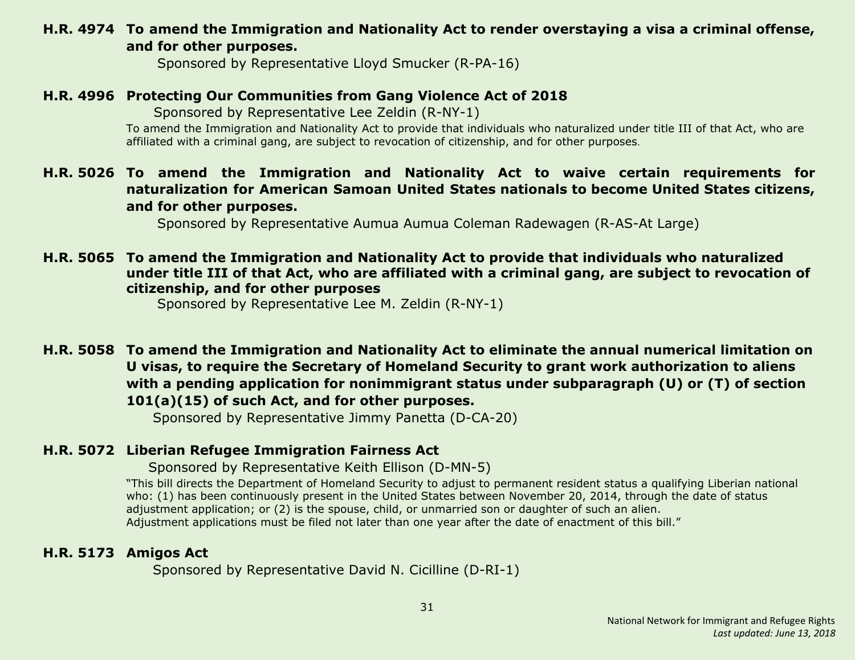## <span id="page-30-0"></span>**H.R. 4974 To amend the Immigration and Nationality Act to render overstaying a visa a criminal offense, and for other purposes.**

Sponsored by Representative Lloyd Smucker (R-PA-16)

#### <span id="page-30-1"></span>**H.R. 4996 Protecting Our Communities from Gang Violence Act of 2018**

Sponsored by Representative Lee Zeldin (R-NY-1)

To amend the Immigration and Nationality Act to provide that individuals who naturalized under title III of that Act, who are affiliated with a criminal gang, are subject to revocation of citizenship, and for other purposes.

## <span id="page-30-2"></span>**H.R. 5026 To amend the Immigration and Nationality Act to waive certain requirements for naturalization for American Samoan United States nationals to become United States citizens, and for other purposes.**

Sponsored by Representative Aumua Aumua Coleman Radewagen (R-AS-At Large)

#### <span id="page-30-3"></span>**H.R. 5065 To amend the Immigration and Nationality Act to provide that individuals who naturalized under title III of that Act, who are affiliated with a criminal gang, are subject to revocation of citizenship, and for other purposes**

Sponsored by Representative Lee M. Zeldin (R-NY-1)

## <span id="page-30-4"></span>**H.R. 5058 To amend the Immigration and Nationality Act to eliminate the annual numerical limitation on U visas, to require the Secretary of Homeland Security to grant work authorization to aliens with a pending application for nonimmigrant status under subparagraph (U) or (T) of section 101(a)(15) of such Act, and for other purposes.**

Sponsored by Representative Jimmy Panetta (D-CA-20)

## <span id="page-30-5"></span>**H.R. 5072 Liberian Refugee Immigration Fairness Act**

Sponsored by Representative Keith Ellison (D-MN-5)

"This bill directs the Department of Homeland Security to adjust to permanent resident status a qualifying Liberian national who: (1) has been continuously present in the United States between November 20, 2014, through the date of status adjustment application; or (2) is the spouse, child, or unmarried son or daughter of such an alien. Adjustment applications must be filed not later than one year after the date of enactment of this bill."

## <span id="page-30-6"></span>**H.R. 5173 Amigos Act**

Sponsored by Representative David N. Cicilline (D-RI-1)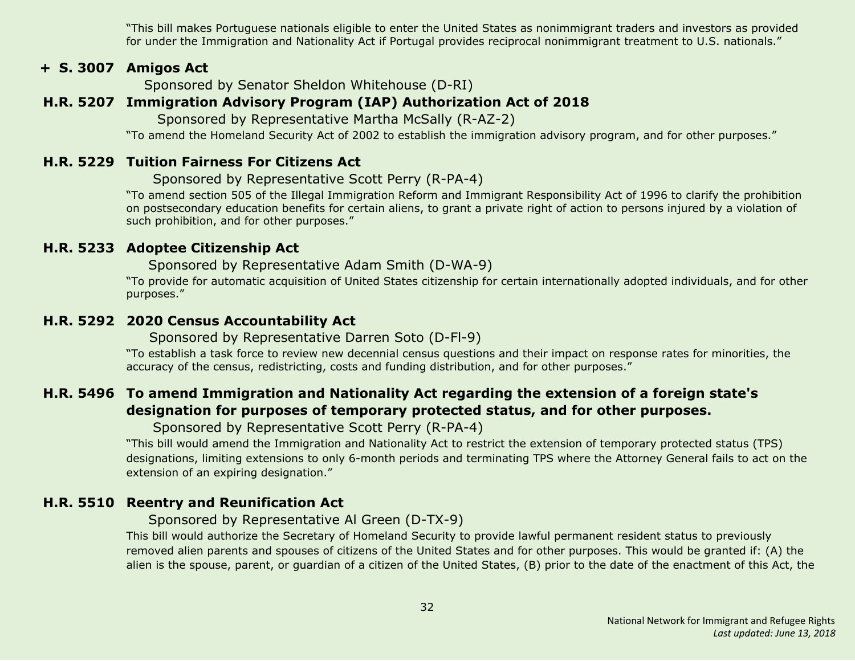"This bill makes Portuguese nationals eligible to enter the United States as nonimmigrant traders and investors as provided for under the Immigration and Nationality Act if Portugal provides reciprocal nonimmigrant treatment to U.S. nationals."

#### **+ S. 3007 Amigos Act**

Sponsored by Senator Sheldon Whitehouse (D-RI)

## <span id="page-31-0"></span>**H.R. 5207 Immigration Advisory Program (IAP) Authorization Act of 2018**

Sponsored by Representative Martha McSally (R-AZ-2)

"To amend the Homeland Security Act of 2002 to establish the immigration advisory program, and for other purposes."

#### <span id="page-31-4"></span>**H.R. 5229 Tuition Fairness For Citizens Act**

Sponsored by Representative Scott Perry (R-PA-4)

"To amend section 505 of the Illegal Immigration Reform and Immigrant Responsibility Act of 1996 to clarify the prohibition on postsecondary education benefits for certain aliens, to grant a private right of action to persons injured by a violation of such prohibition, and for other purposes."

#### <span id="page-31-1"></span>**H.R. 5233 Adoptee Citizenship Act**

Sponsored by Representative Adam Smith (D-WA-9)

"To provide for automatic acquisition of United States citizenship for certain internationally adopted individuals, and for other purposes."

#### <span id="page-31-2"></span>**H.R. 5292 2020 Census Accountability Act**

Sponsored by Representative Darren Soto (D-Fl-9)

"To establish a task force to review new decennial census questions and their impact on response rates for minorities, the accuracy of the census, redistricting, costs and funding distribution, and for other purposes."

## <span id="page-31-5"></span>**H.R. 5496 To amend Immigration and Nationality Act regarding the extension of a foreign state's designation for purposes of temporary protected status, and for other purposes.**

Sponsored by Representative Scott Perry (R-PA-4)

"This bill would amend the Immigration and Nationality Act to restrict the extension of temporary protected status (TPS) designations, limiting extensions to only 6-month periods and terminating TPS where the Attorney General fails to act on the extension of an expiring designation."

## <span id="page-31-3"></span>**H.R. 5510 Reentry and Reunification Act**

Sponsored by Representative Al Green (D-TX-9)

This bill would authorize the Secretary of Homeland Security to provide lawful permanent resident status to previously removed alien parents and spouses of citizens of the United States and for other purposes. This would be granted if: (A) the alien is the spouse, parent, or guardian of a citizen of the United States, (B) prior to the date of the enactment of this Act, the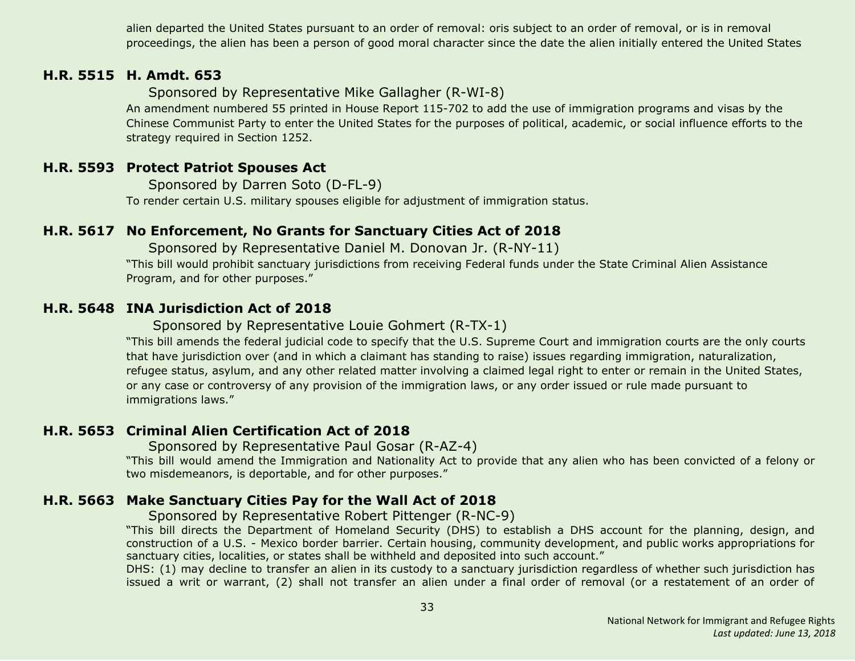alien departed the United States pursuant to an order of removal: oris subject to an order of removal, or is in removal proceedings, the alien has been a person of good moral character since the date the alien initially entered the United States

#### <span id="page-32-2"></span>**H.R. 5515 H. Amdt. 653**

Sponsored by Representative Mike Gallagher (R-WI-8)

An amendment numbered 55 printed in House Report 115-702 to add the use of immigration programs and visas by the Chinese Communist Party to enter the United States for the purposes of political, academic, or social influence efforts to the strategy required in Section 1252.

#### <span id="page-32-0"></span>**H.R. 5593 Protect Patriot Spouses Act**

Sponsored by Darren Soto (D-FL-9) To render certain U.S. military spouses eligible for adjustment of immigration status.

#### <span id="page-32-3"></span>**H.R. 5617 No Enforcement, No Grants for Sanctuary Cities Act of 2018**

Sponsored by Representative Daniel M. Donovan Jr. (R-NY-11) "This bill would prohibit sanctuary jurisdictions from receiving Federal funds under the State Criminal Alien Assistance Program, and for other purposes."

#### <span id="page-32-4"></span>**H.R. 5648 INA Jurisdiction Act of 2018**

Sponsored by Representative Louie Gohmert (R-TX-1)

"This bill amends the federal judicial code to specify that the U.S. Supreme Court and immigration courts are the only courts that have jurisdiction over (and in which a claimant has standing to raise) issues regarding immigration, naturalization, refugee status, asylum, and any other related matter involving a claimed legal right to enter or remain in the United States, or any case or controversy of any provision of the immigration laws, or any order issued or rule made pursuant to immigrations laws."

#### <span id="page-32-5"></span>**H.R. 5653 Criminal Alien Certification Act of 2018**

Sponsored by Representative Paul Gosar (R-AZ-4)

"This bill would amend the Immigration and Nationality Act to provide that any alien who has been convicted of a felony or two misdemeanors, is deportable, and for other purposes."

#### <span id="page-32-1"></span>**H.R. 5663 Make Sanctuary Cities Pay for the Wall Act of 2018**

Sponsored by Representative Robert Pittenger (R-NC-9)

"This bill directs the Department of Homeland Security (DHS) to establish a DHS account for the planning, design, and construction of a U.S. - Mexico border barrier. Certain housing, community development, and public works appropriations for sanctuary cities, localities, or states shall be withheld and deposited into such account."

DHS: (1) may decline to transfer an alien in its custody to a sanctuary jurisdiction regardless of whether such jurisdiction has issued a writ or warrant, (2) shall not transfer an alien under a final order of removal (or a restatement of an order of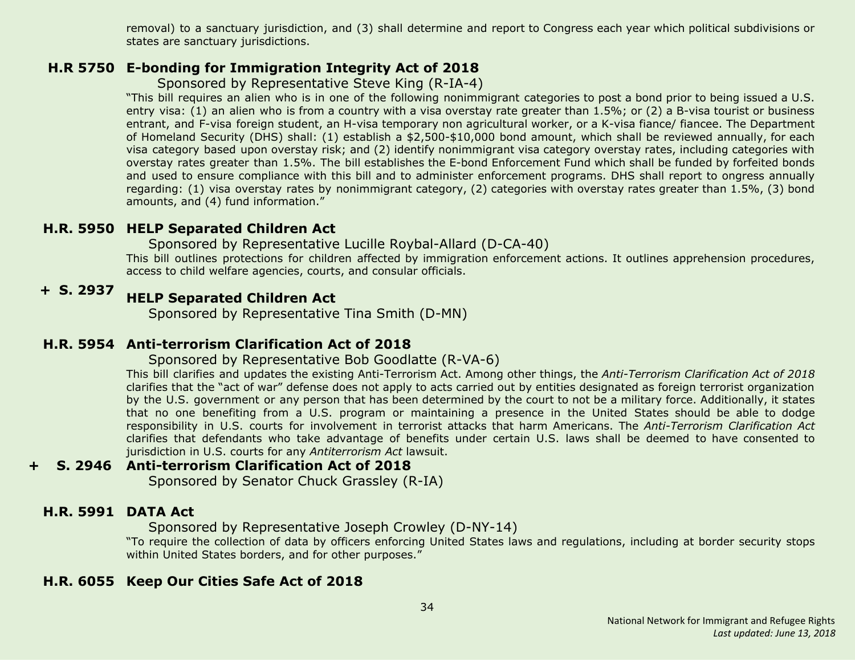removal) to a sanctuary jurisdiction, and (3) shall determine and report to Congress each year which political subdivisions or states are sanctuary jurisdictions.

## <span id="page-33-4"></span>**H.R 5750 E-bonding for Immigration Integrity Act of 2018**

## Sponsored by Representative Steve King (R-IA-4)

"This bill requires an alien who is in one of the following nonimmigrant categories to post a bond prior to being issued a U.S. entry visa: (1) an alien who is from a country with a visa overstay rate greater than 1.5%; or (2) a B-visa tourist or business entrant, and F-visa foreign student, an H-visa temporary non agricultural worker, or a K-visa fiance/ fiancee. The Department of Homeland Security (DHS) shall: (1) establish a \$2,500-\$10,000 bond amount, which shall be reviewed annually, for each visa category based upon overstay risk; and (2) identify nonimmigrant visa category overstay rates, including categories with overstay rates greater than 1.5%. The bill establishes the E-bond Enforcement Fund which shall be funded by forfeited bonds and used to ensure compliance with this bill and to administer enforcement programs. DHS shall report to ongress annually regarding: (1) visa overstay rates by nonimmigrant category, (2) categories with overstay rates greater than 1.5%, (3) bond amounts, and (4) fund information."

## <span id="page-33-1"></span>**H.R. 5950 HELP Separated Children Act**

#### Sponsored by Representative Lucille Roybal-Allard (D-CA-40)

This bill outlines protections for children affected by immigration enforcement actions. It outlines apprehension procedures, access to child welfare agencies, courts, and consular officials.

#### **+ S. 2937 HELP Separated Children Act**

Sponsored by Representative Tina Smith (D-MN)

## <span id="page-33-0"></span>**H.R. 5954 Anti-terrorism Clarification Act of 2018**

#### Sponsored by Representative Bob Goodlatte (R-VA-6)

This bill clarifies and updates the existing Anti-Terrorism Act. Among other things, the *Anti-Terrorism Clarification Act of 2018* clarifies that the "act of war" defense does not apply to acts carried out by entities designated as foreign terrorist organization by the U.S. government or any person that has been determined by the court to not be a military force. Additionally, it states that no one benefiting from a U.S. program or maintaining a presence in the United States should be able to dodge responsibility in U.S. courts for involvement in terrorist attacks that harm Americans. The *Anti-Terrorism Clarification Act* clarifies that defendants who take advantage of benefits under certain U.S. laws shall be deemed to have consented to jurisdiction in U.S. courts for any *Antiterrorism Act* lawsuit.

#### **+ S. 2946 Anti-terrorism Clarification Act of 2018**

Sponsored by Senator Chuck Grassley (R-IA)

#### <span id="page-33-2"></span>**H.R. 5991 DATA Act**

Sponsored by Representative Joseph Crowley (D-NY-14)

"To require the collection of data by officers enforcing United States laws and regulations, including at border security stops within United States borders, and for other purposes."

#### <span id="page-33-3"></span>**H.R. 6055 Keep Our Cities Safe Act of 2018**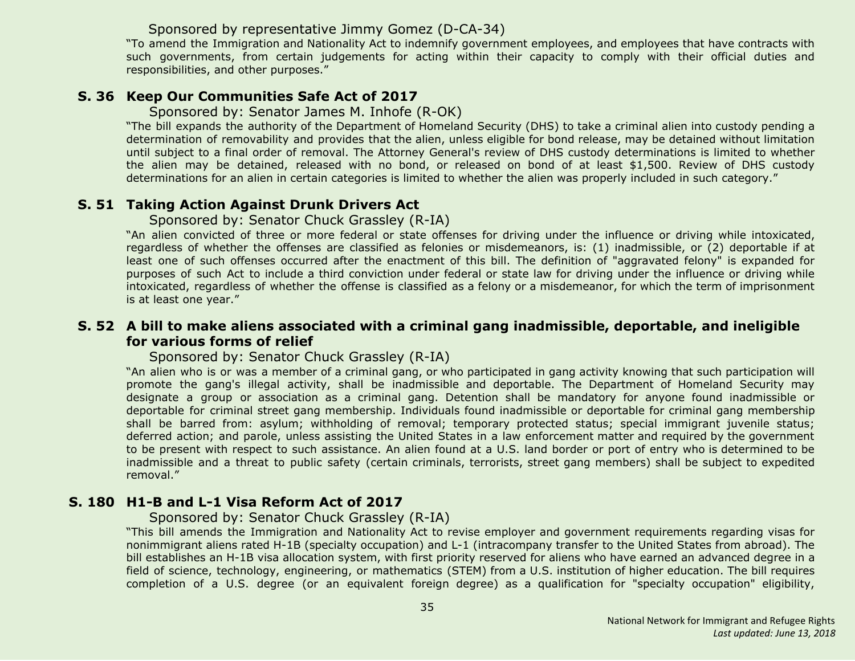#### Sponsored by representative Jimmy Gomez (D-CA-34)

"To amend the Immigration and Nationality Act to indemnify government employees, and employees that have contracts with such governments, from certain judgements for acting within their capacity to comply with their official duties and responsibilities, and other purposes."

#### <span id="page-34-0"></span>**S. 36 Keep Our Communities Safe Act of 2017**

Sponsored by: Senator James M. Inhofe (R-OK)

"The bill expands the authority of the Department of Homeland Security (DHS) to take a criminal alien into custody pending a determination of removability and provides that the alien, unless eligible for bond release, may be detained without limitation until subject to a final order of removal. The Attorney General's review of DHS custody determinations is limited to whether the alien may be detained, released with no bond, or released on bond of at least \$1,500. Review of DHS custody determinations for an alien in certain categories is limited to whether the alien was properly included in such category."

#### <span id="page-34-1"></span>**S. 51 Taking Action Against Drunk Drivers Act**

Sponsored by: Senator Chuck Grassley (R-IA)

"An alien convicted of three or more federal or state offenses for driving under the influence or driving while intoxicated, regardless of whether the offenses are classified as felonies or misdemeanors, is: (1) inadmissible, or (2) deportable if at least one of such offenses occurred after the enactment of this bill. The definition of "aggravated felony" is expanded for purposes of such Act to include a third conviction under federal or state law for driving under the influence or driving while intoxicated, regardless of whether the offense is classified as a felony or a misdemeanor, for which the term of imprisonment is at least one year."

#### <span id="page-34-2"></span>**S. 52 A bill to make aliens associated with a criminal gang inadmissible, deportable, and ineligible for various forms of relief**

Sponsored by: Senator Chuck Grassley (R-IA)

"An alien who is or was a member of a criminal gang, or who participated in gang activity knowing that such participation will promote the gang's illegal activity, shall be inadmissible and deportable. The Department of Homeland Security may designate a group or association as a criminal gang. Detention shall be mandatory for anyone found inadmissible or deportable for criminal street gang membership. Individuals found inadmissible or deportable for criminal gang membership shall be barred from: asylum; withholding of removal; temporary protected status; special immigrant juvenile status; deferred action; and parole, unless assisting the United States in a law enforcement matter and required by the government to be present with respect to such assistance. An alien found at a U.S. land border or port of entry who is determined to be inadmissible and a threat to public safety (certain criminals, terrorists, street gang members) shall be subject to expedited removal."

#### <span id="page-34-3"></span>**S. 180 H1-B and L-1 Visa Reform Act of 2017**

Sponsored by: Senator Chuck Grassley (R-IA)

"This bill amends the Immigration and Nationality Act to revise employer and government requirements regarding visas for nonimmigrant aliens rated H-1B (specialty occupation) and L-1 (intracompany transfer to the United States from abroad). The bill establishes an H-1B visa allocation system, with first priority reserved for aliens who have earned an advanced degree in a field of science, technology, engineering, or mathematics (STEM) from a U.S. institution of higher education. The bill requires completion of a U.S. degree (or an equivalent foreign degree) as a qualification for "specialty occupation" eligibility,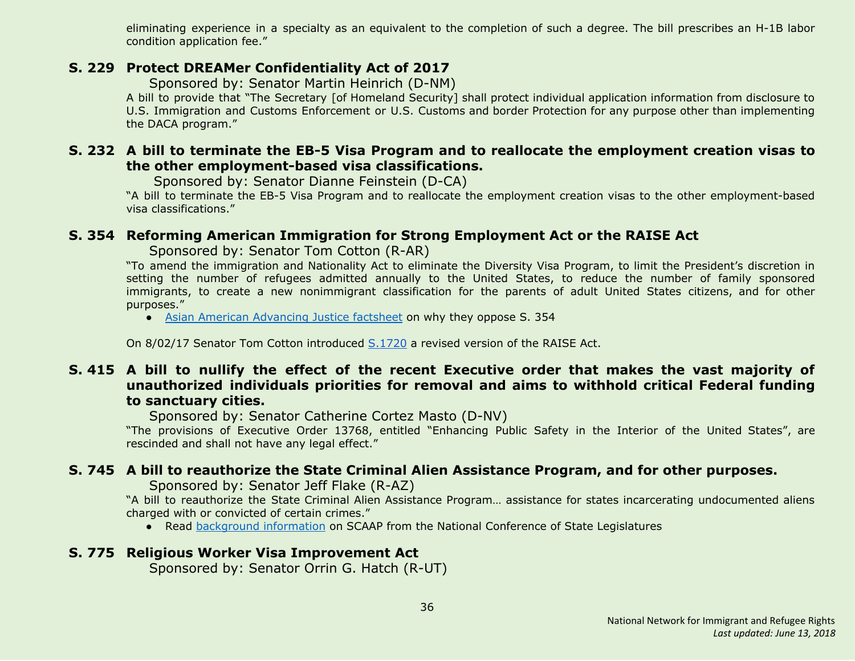eliminating experience in a specialty as an equivalent to the completion of such a degree. The bill prescribes an H-1B labor condition application fee."

#### <span id="page-35-3"></span>**S. 229 Protect DREAMer Confidentiality Act of 2017**

Sponsored by: Senator Martin Heinrich (D-NM)

A bill to provide that "The Secretary [of Homeland Security] shall protect individual application information from disclosure to U.S. Immigration and Customs Enforcement or U.S. Customs and border Protection for any purpose other than implementing the DACA program."

#### <span id="page-35-4"></span>**S. 232 A bill to terminate the EB-5 Visa Program and to reallocate the employment creation visas to the other employment-based visa classifications.**

Sponsored by: Senator Dianne Feinstein (D-CA)

"A bill to terminate the EB-5 Visa Program and to reallocate the employment creation visas to the other employment-based visa classifications."

## <span id="page-35-0"></span>**S. 354 Reforming American Immigration for Strong Employment Act or the RAISE Act**

Sponsored by: Senator Tom Cotton (R-AR)

"To amend the immigration and Nationality Act to eliminate the Diversity Visa Program, to limit the President's discretion in setting the number of refugees admitted annually to the United States, to reduce the number of family sponsored immigrants, to create a new nonimmigrant classification for the parents of adult United States citizens, and for other purposes."

• Asian American [Advancing](http://advancingjustice-aajc.org/sites/default/files/2017-04/RAISE%20Act%20Would%20Separate%20Families.pdf) Justice factsheet on why they oppose S. 354

On 8/02/17 Senator Tom Cotton introduced [S.1720](#page-37-1) a revised version of the RAISE Act.

## <span id="page-35-5"></span>**S. 415 A bill to nullify the effect of the recent Executive order that makes the vast majority of unauthorized individuals priorities for removal and aims to withhold critical Federal funding to sanctuary cities.**

Sponsored by: Senator Catherine Cortez Masto (D-NV)

"The provisions of Executive Order 13768, entitled "Enhancing Public Safety in the Interior of the United States", are rescinded and shall not have any legal effect."

## <span id="page-35-1"></span>**S. 745 A bill to reauthorize the State Criminal Alien Assistance Program, and for other purposes.**

Sponsored by: Senator Jeff Flake (R-AZ)

"A bill to reauthorize the State Criminal Alien Assistance Program… assistance for states incarcerating undocumented aliens charged with or convicted of certain crimes."

● Read [background](http://www.ncsl.org/research/immigration/state-criminal-alien-assistance-program.aspx) information on SCAAP from the National Conference of State Legislatures

## <span id="page-35-2"></span>**S. 775 Religious Worker Visa Improvement Act**

Sponsored by: Senator Orrin G. Hatch (R-UT)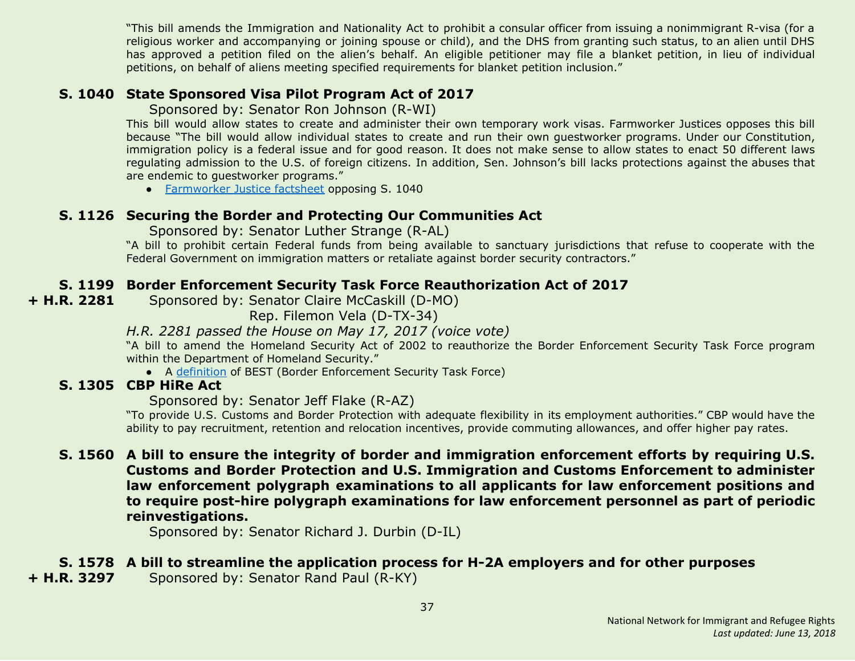"This bill amends the Immigration and Nationality Act to prohibit a consular officer from issuing a nonimmigrant R-visa (for a religious worker and accompanying or joining spouse or child), and the DHS from granting such status, to an alien until DHS has approved a petition filed on the alien's behalf. An eligible petitioner may file a blanket petition, in lieu of individual petitions, on behalf of aliens meeting specified requirements for blanket petition inclusion."

## <span id="page-36-1"></span>**S. 1040 State Sponsored Visa Pilot Program Act of 2017**

Sponsored by: Senator Ron Johnson (R-WI)

This bill would allow states to create and administer their own temporary work visas. Farmworker Justices opposes this bill because "The bill would allow individual states to create and run their own guestworker programs. Under our Constitution, immigration policy is a federal issue and for good reason. It does not make sense to allow states to enact 50 different laws regulating admission to the U.S. of foreign citizens. In addition, Sen. Johnson's bill lacks protections against the abuses that are endemic to guestworker programs."

● [Farmworker](https://www.farmworkerjustice.org/sites/default/files/FJ%20-%20Johnson%20State%20GW%20Bill%20Fact%20Sheet%20-FINAL.pdf) Justice factsheet opposing S. 1040

## <span id="page-36-2"></span>**S. 1126 Securing the Border and Protecting Our Communities Act**

Sponsored by: Senator Luther Strange (R-AL)

"A bill to prohibit certain Federal funds from being available to sanctuary jurisdictions that refuse to cooperate with the Federal Government on immigration matters or retaliate against border security contractors."

## <span id="page-36-4"></span>**S. 1199 Border Enforcement Security Task Force Reauthorization Act of 2017**

**+ H.R. 2281** Sponsored by: Senator Claire McCaskill (D-MO)

Rep. Filemon Vela (D-TX-34)

#### *H.R. 2281 passed the House on May 17, 2017 (voice vote)*

"A bill to amend the Homeland Security Act of 2002 to reauthorize the Border Enforcement Security Task Force program within the Department of Homeland Security."

● A [definition](https://www.law.cornell.edu/uscode/text/6/240) of BEST (Border Enforcement Security Task Force)

## <span id="page-36-3"></span>**S. 1305 CBP HiRe Act**

Sponsored by: Senator Jeff Flake (R-AZ)

"To provide U.S. Customs and Border Protection with adequate flexibility in its employment authorities." CBP would have the ability to pay recruitment, retention and relocation incentives, provide commuting allowances, and offer higher pay rates.

<span id="page-36-5"></span>**S. 1560 A bill to ensure the integrity of border and immigration enforcement efforts by requiring U.S. Customs and Border Protection and U.S. Immigration and Customs Enforcement to administer law enforcement polygraph examinations to all applicants for law enforcement positions and to require post-hire polygraph examinations for law enforcement personnel as part of periodic reinvestigations.**

Sponsored by: Senator Richard J. Durbin (D-IL)

## <span id="page-36-0"></span>**S. 1578 A bill to streamline the application process for H-2A employers and for other purposes**

**+ H.R. 3297** Sponsored by: Senator Rand Paul (R-KY)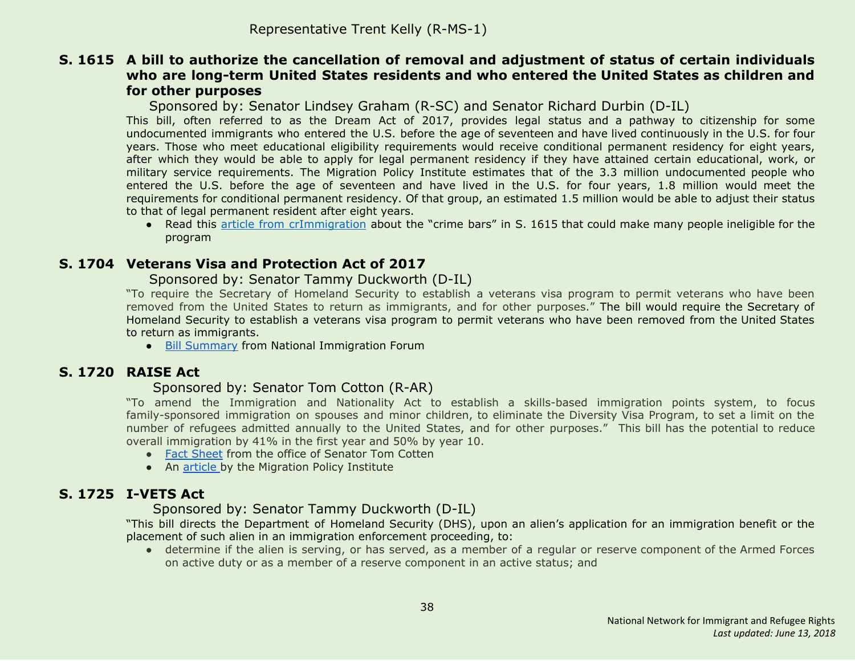#### <span id="page-37-0"></span>**S. 1615 A bill to authorize the cancellation of removal and adjustment of status of certain individuals who are long-term United States residents and who entered the United States as children and for other purposes**

Sponsored by: Senator Lindsey Graham (R-SC) and Senator Richard Durbin (D-IL)

This bill, often referred to as the Dream Act of 2017, provides legal status and a pathway to citizenship for some undocumented immigrants who entered the U.S. before the age of seventeen and have lived continuously in the U.S. for four years. Those who meet educational eligibility requirements would receive conditional permanent residency for eight years, after which they would be able to apply for legal permanent residency if they have attained certain educational, work, or military service requirements. The Migration Policy Institute estimates that of the 3.3 million undocumented people who entered the U.S. before the age of seventeen and have lived in the U.S. for four years, 1.8 million would meet the requirements for conditional permanent residency. Of that group, an estimated 1.5 million would be able to adjust their status to that of legal permanent resident after eight years.

● Read this article from [crImmigration](http://crimmigration.com/2017/07/21/dream-act-of-2017-crime-bars/) about the "crime bars" in S. 1615 that could make many people ineligible for the program

#### <span id="page-37-2"></span>**S. 1704 Veterans Visa and Protection Act of 2017**

#### Sponsored by: Senator Tammy Duckworth (D-IL)

"To require the Secretary of Homeland Security to establish a veterans visa program to permit veterans who have been removed from the United States to return as immigrants, and for other purposes." The bill would require the Secretary of Homeland Security to establish a veterans visa program to permit veterans who have been removed from the United States to return as immigrants.

● Bill [Summary](http://immigrationforum.org/blog/veterans-and-visa-protection-act-of-2017-bill-summary/) from National Immigration Forum

## <span id="page-37-1"></span>**S. 1720 RAISE Act**

#### Sponsored by: Senator Tom Cotton (R-AR)

"To amend the Immigration and Nationality Act to establish a skills-based immigration points system, to focus family-sponsored immigration on spouses and minor children, to eliminate the Diversity Visa Program, to set a limit on the number of refugees admitted annually to the United States, and for other purposes." This bill has the potential to reduce overall immigration by 41% in the first year and 50% by year 10.

- Fact [Sheet](http://static.politico.com/fd/af/3eebc635479892982f81bdfe3fa2/raise-act.pdf) from the office of Senator Tom Cotten
- An [article](http://www.migrationpolicy.org/news/raise-act-dramatic-change-family-immigration-less-so-employment-based-system) by the Migration Policy Institute

## <span id="page-37-3"></span>**S. 1725 I-VETS Act**

#### Sponsored by: Senator Tammy Duckworth (D-IL)

"This bill directs the Department of Homeland Security (DHS), upon an alien's application for an immigration benefit or the placement of such alien in an immigration enforcement proceeding, to:

● determine if the alien is serving, or has served, as a member of a regular or reserve component of the Armed Forces on active duty or as a member of a reserve component in an active status; and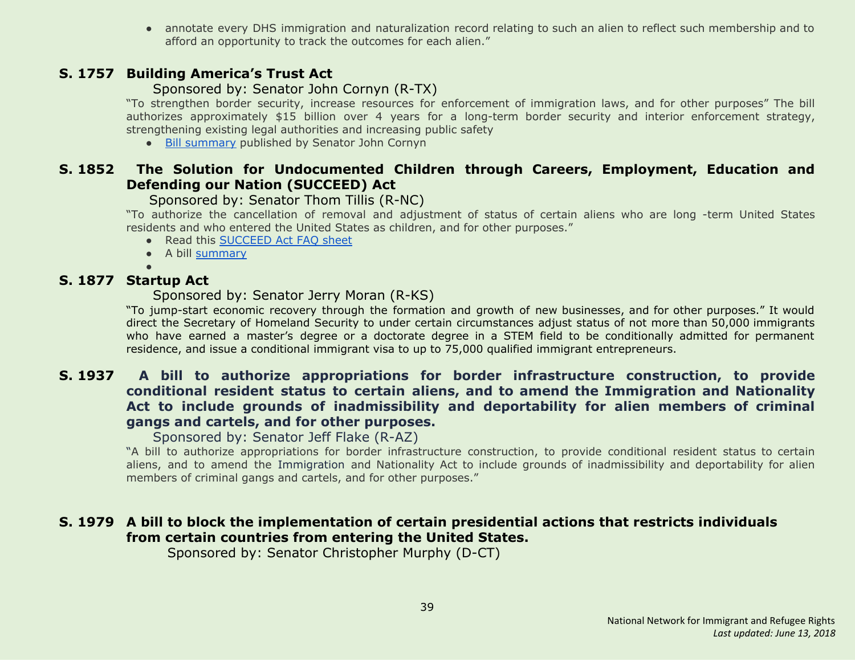● annotate every DHS immigration and naturalization record relating to such an alien to reflect such membership and to afford an opportunity to track the outcomes for each alien."

#### <span id="page-38-0"></span>**S. 1757 Building America's Trust Act**

#### Sponsored by: Senator John Cornyn (R-TX)

"To strengthen border security, increase resources for enforcement of immigration laws, and for other purposes" The bill authorizes approximately \$15 billion over 4 years for a long-term border security and interior enforcement strategy, strengthening existing legal authorities and increasing public safety

● Bill [summary](https://www.cornyn.senate.gov/sites/default/files/Building%20America%27s%20Trust%20Act%20-%20One%20Pager.pdf) published by Senator John Cornyn

## <span id="page-38-1"></span>**S. 1852 The Solution for Undocumented Children through Careers, Employment, Education and Defending our Nation (SUCCEED) Act**

Sponsored by: Senator Thom Tillis (R-NC)

"To authorize the cancellation of removal and adjustment of status of certain aliens who are long -term United States residents and who entered the United States as children, and for other purposes."

- Read this [SUCCEED](https://www.tillis.senate.gov/public/_cache/files/6a79e1da-2671-427a-9d1c-b3b16376a40c/the-succeed-act-two-pager.pdf) Act FAQ sheet
- A bill [summary](http://immigrationforum.org/blog/the-succeed-act-bill-summary/)
- ●

## <span id="page-38-2"></span>**S. 1877 Startup Act**

Sponsored by: Senator Jerry Moran (R-KS)

"To jump-start economic recovery through the formation and growth of new businesses, and for other purposes." It would direct the Secretary of Homeland Security to under certain circumstances adjust status of not more than 50,000 immigrants who have earned a master's degree or a doctorate degree in a STEM field to be conditionally admitted for permanent residence, and issue a conditional immigrant visa to up to 75,000 qualified immigrant entrepreneurs.

#### <span id="page-38-3"></span>**S. 1937 A bill to authorize appropriations for border infrastructure construction, to provide conditional resident status to certain aliens, and to amend the Immigration and Nationality Act to include grounds of inadmissibility and deportability for alien members of criminal gangs and cartels, and for other purposes.**

Sponsored by: Senator Jeff Flake (R-AZ)

"A bill to authorize appropriations for border infrastructure construction, to provide conditional resident status to certain aliens, and to amend the Immigration and Nationality Act to include grounds of inadmissibility and deportability for alien members of criminal gangs and cartels, and for other purposes."

## <span id="page-38-4"></span>**S. 1979 A bill to block the implementation of certain presidential actions that restricts individuals from certain countries from entering the United States.**

Sponsored by: Senator Christopher Murphy (D-CT)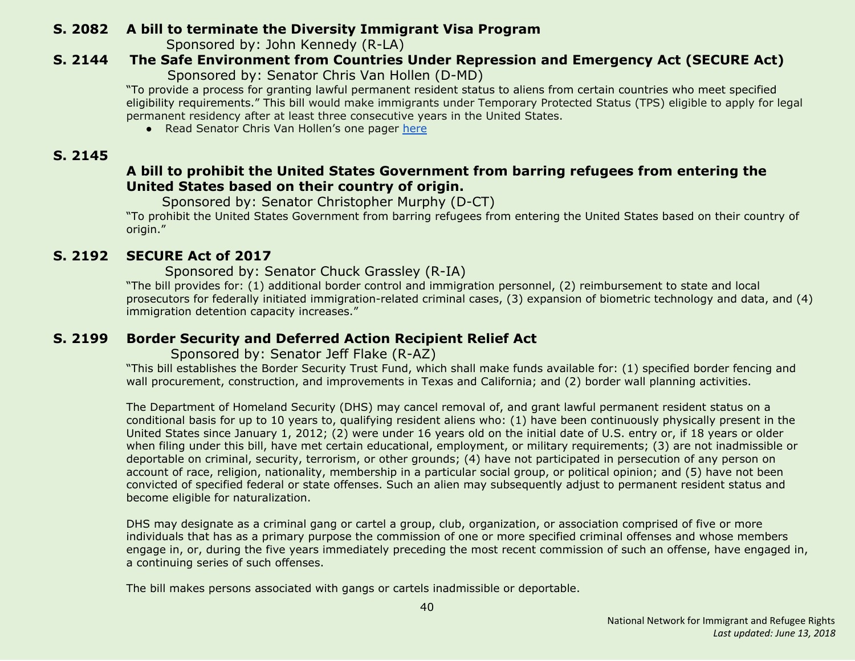## <span id="page-39-0"></span> **S. 2082 A bill to terminate the Diversity Immigrant Visa Program**

Sponsored by: John Kennedy (R-LA)

#### <span id="page-39-3"></span> **S. 2144 The Safe Environment from Countries Under Repression and Emergency Act (SECURE Act)** Sponsored by: Senator Chris Van Hollen (D-MD)

"To provide a process for granting lawful permanent resident status to aliens from certain countries who meet specified eligibility requirements." This bill would make immigrants under Temporary Protected Status (TPS) eligible to apply for legal permanent residency after at least three consecutive years in the United States.

● Read Senator Chris Van Hollen's one pager [here](https://www.vanhollen.senate.gov/sites/default/files/TPS%20One%20Pager.pdf)

## <span id="page-39-4"></span> **S. 2145**

## **A bill to prohibit the United States Government from barring refugees from entering the United States based on their country of origin.**

Sponsored by: Senator Christopher Murphy (D-CT)

"To prohibit the United States Government from barring refugees from entering the United States based on their country of origin."

## <span id="page-39-1"></span> **S. 2192 SECURE Act of 2017**

#### Sponsored by: Senator Chuck Grassley (R-IA)

"The bill provides for: (1) additional border control and immigration personnel, (2) reimbursement to state and local prosecutors for federally initiated immigration-related criminal cases, (3) expansion of biometric technology and data, and (4) immigration detention capacity increases."

## <span id="page-39-2"></span> **S. 2199 Border Security and Deferred Action Recipient Relief Act**

#### Sponsored by: Senator Jeff Flake (R-AZ)

"This bill establishes the Border Security Trust Fund, which shall make funds available for: (1) specified border fencing and wall procurement, construction, and improvements in Texas and California; and (2) border wall planning activities.

The Department of Homeland Security (DHS) may cancel removal of, and grant lawful permanent resident status on a conditional basis for up to 10 years to, qualifying resident aliens who: (1) have been continuously physically present in the United States since January 1, 2012; (2) were under 16 years old on the initial date of U.S. entry or, if 18 years or older when filing under this bill, have met certain educational, employment, or military requirements; (3) are not inadmissible or deportable on criminal, security, terrorism, or other grounds; (4) have not participated in persecution of any person on account of race, religion, nationality, membership in a particular social group, or political opinion; and (5) have not been convicted of specified federal or state offenses. Such an alien may subsequently adjust to permanent resident status and become eligible for naturalization.

DHS may designate as a criminal gang or cartel a group, club, organization, or association comprised of five or more individuals that has as a primary purpose the commission of one or more specified criminal offenses and whose members engage in, or, during the five years immediately preceding the most recent commission of such an offense, have engaged in, a continuing series of such offenses.

The bill makes persons associated with gangs or cartels inadmissible or deportable.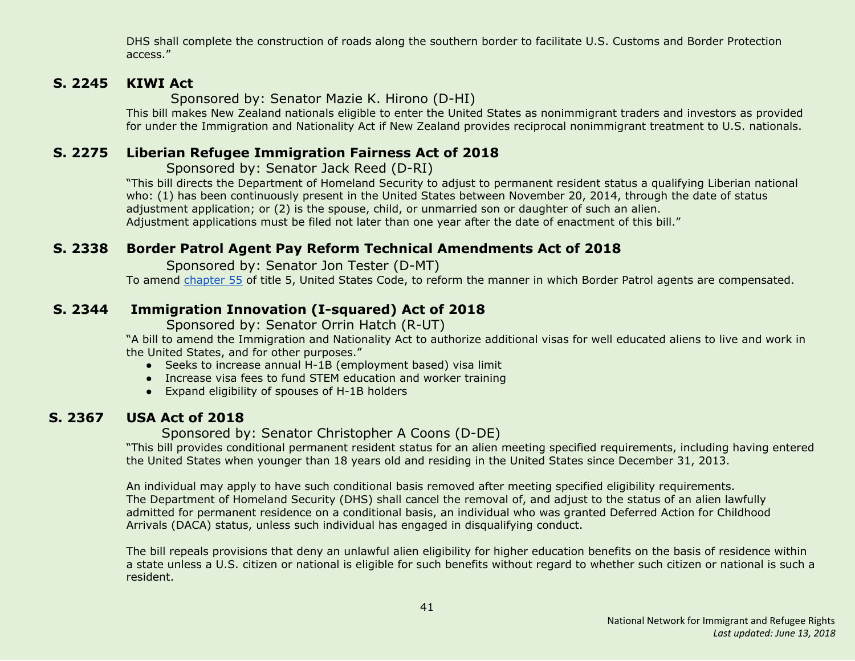DHS shall complete the construction of roads along the southern border to facilitate U.S. Customs and Border Protection access."

#### <span id="page-40-1"></span> **S. 2245 KIWI Act**

Sponsored by: Senator Mazie K. Hirono (D-HI)

This bill makes New Zealand nationals eligible to enter the United States as nonimmigrant traders and investors as provided for under the Immigration and Nationality Act if New Zealand provides reciprocal nonimmigrant treatment to U.S. nationals.

## <span id="page-40-2"></span> **S. 2275 Liberian Refugee Immigration Fairness Act of 2018**

Sponsored by: Senator Jack Reed (D-RI)

"This bill directs the Department of Homeland Security to adjust to permanent resident status a qualifying Liberian national who: (1) has been continuously present in the United States between November 20, 2014, through the date of status adjustment application; or (2) is the spouse, child, or unmarried son or daughter of such an alien. Adjustment applications must be filed not later than one year after the date of enactment of this bill."

## <span id="page-40-3"></span> **S. 2338 Border Patrol Agent Pay Reform Technical Amendments Act of 2018**

Sponsored by: Senator Jon Tester (D-MT)

To amend [chapter](http://uscode.house.gov/view.xhtml?req=granuleid:USC-prelim-title5-chapter55-front&num=0&edition=prelim) 55 of title 5, United States Code, to reform the manner in which Border Patrol agents are compensated.

## <span id="page-40-0"></span> **S. 2344 Immigration Innovation (I-squared) Act of 2018**

Sponsored by: Senator Orrin Hatch (R-UT)

"A bill to amend the Immigration and Nationality Act to authorize additional visas for well educated aliens to live and work in the United States, and for other purposes."

- Seeks to increase annual H-1B (employment based) visa limit
- Increase visa fees to fund STEM education and worker training
- Expand eligibility of spouses of H-1B holders

## <span id="page-40-4"></span> **S. 2367 USA Act of 2018**

## Sponsored by: Senator Christopher A Coons (D-DE)

"This bill provides conditional permanent resident status for an alien meeting specified requirements, including having entered the United States when younger than 18 years old and residing in the United States since December 31, 2013.

An individual may apply to have such conditional basis removed after meeting specified eligibility requirements. The Department of Homeland Security (DHS) shall cancel the removal of, and adjust to the status of an alien lawfully admitted for permanent residence on a conditional basis, an individual who was granted Deferred Action for Childhood Arrivals (DACA) status, unless such individual has engaged in disqualifying conduct.

The bill repeals provisions that deny an unlawful alien eligibility for higher education benefits on the basis of residence within a state unless a U.S. citizen or national is eligible for such benefits without regard to whether such citizen or national is such a resident.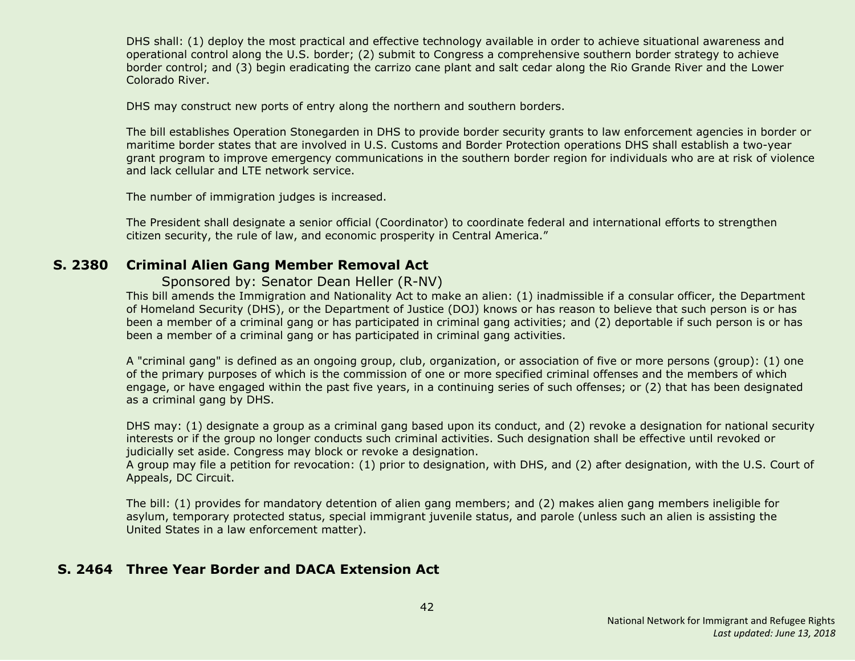DHS shall: (1) deploy the most practical and effective technology available in order to achieve situational awareness and operational control along the U.S. border; (2) submit to Congress a comprehensive southern border strategy to achieve border control; and (3) begin eradicating the carrizo cane plant and salt cedar along the Rio Grande River and the Lower Colorado River.

DHS may construct new ports of entry along the northern and southern borders.

The bill establishes Operation Stonegarden in DHS to provide border security grants to law enforcement agencies in border or maritime border states that are involved in U.S. Customs and Border Protection operations DHS shall establish a two-year grant program to improve emergency communications in the southern border region for individuals who are at risk of violence and lack cellular and LTE network service.

The number of immigration judges is increased.

The President shall designate a senior official (Coordinator) to coordinate federal and international efforts to strengthen citizen security, the rule of law, and economic prosperity in Central America."

#### <span id="page-41-0"></span> **S. 2380 Criminal Alien Gang Member Removal Act**

#### Sponsored by: Senator Dean Heller (R-NV)

This bill amends the Immigration and Nationality Act to make an alien: (1) inadmissible if a consular officer, the Department of Homeland Security (DHS), or the Department of Justice (DOJ) knows or has reason to believe that such person is or has been a member of a criminal gang or has participated in criminal gang activities; and (2) deportable if such person is or has been a member of a criminal gang or has participated in criminal gang activities.

A "criminal gang" is defined as an ongoing group, club, organization, or association of five or more persons (group): (1) one of the primary purposes of which is the commission of one or more specified criminal offenses and the members of which engage, or have engaged within the past five years, in a continuing series of such offenses; or (2) that has been designated as a criminal gang by DHS.

DHS may: (1) designate a group as a criminal gang based upon its conduct, and (2) revoke a designation for national security interests or if the group no longer conducts such criminal activities. Such designation shall be effective until revoked or judicially set aside. Congress may block or revoke a designation.

A group may file a petition for revocation: (1) prior to designation, with DHS, and (2) after designation, with the U.S. Court of Appeals, DC Circuit.

The bill: (1) provides for mandatory detention of alien gang members; and (2) makes alien gang members ineligible for asylum, temporary protected status, special immigrant juvenile status, and parole (unless such an alien is assisting the United States in a law enforcement matter).

#### <span id="page-41-1"></span> **S. 2464 Three Year Border and DACA Extension Act**